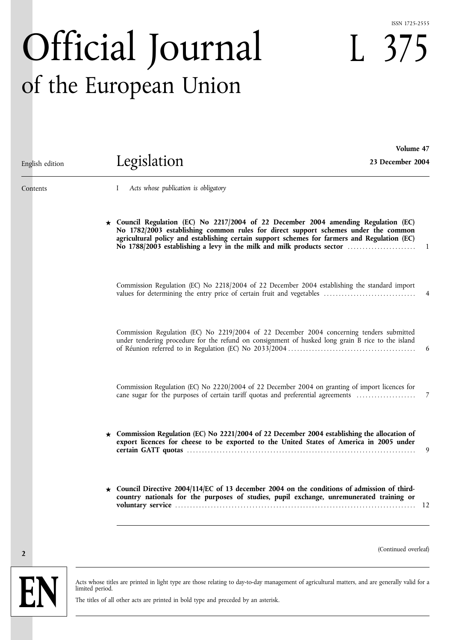#### ISSN 1725-2555

L 375

# Official Journal of the European Union

| Volume 47            |                                                                                                                                                                                                                                                                                                                                                                            |                 |
|----------------------|----------------------------------------------------------------------------------------------------------------------------------------------------------------------------------------------------------------------------------------------------------------------------------------------------------------------------------------------------------------------------|-----------------|
| 23 December 2004     | Legislation                                                                                                                                                                                                                                                                                                                                                                | English edition |
|                      | Acts whose publication is obligatory<br>$\mathbf{I}$                                                                                                                                                                                                                                                                                                                       | Contents        |
| -1                   | $\star$ Council Regulation (EC) No 2217/2004 of 22 December 2004 amending Regulation (EC)<br>No 1782/2003 establishing common rules for direct support schemes under the common<br>agricultural policy and establishing certain support schemes for farmers and Regulation (EC)<br>No 1788/2003 establishing a levy in the milk and milk products sector <i>manuforman</i> |                 |
|                      | Commission Regulation (EC) No 2218/2004 of 22 December 2004 establishing the standard import<br>values for determining the entry price of certain fruit and vegetables                                                                                                                                                                                                     |                 |
| 6                    | Commission Regulation (EC) No 2219/2004 of 22 December 2004 concerning tenders submitted<br>under tendering procedure for the refund on consignment of husked long grain B rice to the island                                                                                                                                                                              |                 |
| 7                    | Commission Regulation (EC) No 2220/2004 of 22 December 2004 on granting of import licences for<br>cane sugar for the purposes of certain tariff quotas and preferential agreements                                                                                                                                                                                         |                 |
| 9                    | $\star$ Commission Regulation (EC) No 2221/2004 of 22 December 2004 establishing the allocation of<br>export licences for cheese to be exported to the United States of America in 2005 under                                                                                                                                                                              |                 |
| 12                   | $\star$ Council Directive 2004/114/EC of 13 december 2004 on the conditions of admission of third-<br>country nationals for the purposes of studies, pupil exchange, unremunerated training or                                                                                                                                                                             |                 |
| (Continued overleaf) |                                                                                                                                                                                                                                                                                                                                                                            | $\mathbf 2$     |

re printed in light type are those relating to day-to-day management of agricultural matters, and are generally valid for a limited period.

The titles of all other acts are printed in bold type and preceded by an asterisk.

**EN**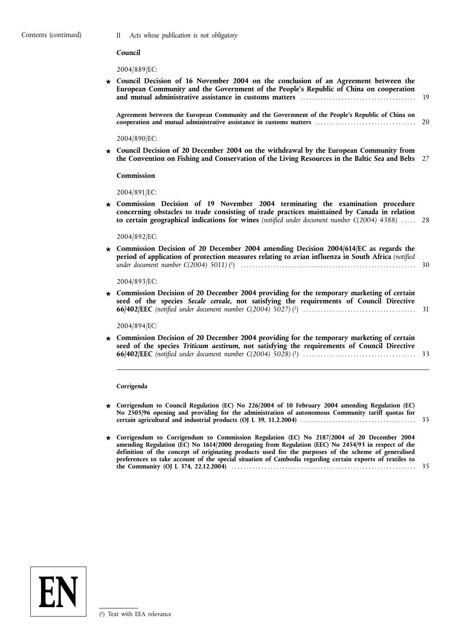## **Council**

2004/889/EC:

| ★ Council Decision of 16 November 2004 on the conclusion of an Agreement between the<br>European Community and the Government of the People's Republic of China on cooperation                                                                                                             | 19 |
|--------------------------------------------------------------------------------------------------------------------------------------------------------------------------------------------------------------------------------------------------------------------------------------------|----|
| Agreement between the European Community and the Government of the People's Republic of China on                                                                                                                                                                                           | 20 |
| 2004/890/EC:                                                                                                                                                                                                                                                                               |    |
| $\star$ Council Decision of 20 December 2004 on the withdrawal by the European Community from<br>the Convention on Fishing and Conservation of the Living Resources in the Baltic Sea and Belts                                                                                            | 27 |
| Commission                                                                                                                                                                                                                                                                                 |    |
| 2004/891/EC:                                                                                                                                                                                                                                                                               |    |
| $\star$ Commission Decision of 19 November 2004 terminating the examination procedure<br>concerning obstacles to trade consisting of trade practices maintained by Canada in relation<br>to certain geographical indications for wines (notified under document number $C(2004)$ 4388)  28 |    |
| 2004/892/EC:                                                                                                                                                                                                                                                                               |    |
| $\star$ Commission Decision of 20 December 2004 amending Decision 2004/614/EC as regards the<br>period of application of protection measures relating to avian influenza in South Africa (notified                                                                                         | 30 |
| 2004/893/EC:                                                                                                                                                                                                                                                                               |    |
| $\star$ Commission Decision of 20 December 2004 providing for the temporary marketing of certain<br>seed of the species Secale cereale, not satisfying the requirements of Council Directive                                                                                               | 31 |
| 2004/894/EC:                                                                                                                                                                                                                                                                               |    |
| ★ Commission Decision of 20 December 2004 providing for the temporary marketing of certain<br>seed of the species Triticum aestivum, not satisfying the requirements of Council Directive                                                                                                  | 33 |
| Corrigenda                                                                                                                                                                                                                                                                                 |    |

- **★ Corrigendum to Council Regulation (EC) No 226/2004 of 10 February 2004 amending Regulation (EC) No 2505/96 opening and providing for the administration of autonomous Community tariff quotas for certain agricultural and industrial products (OJ L 39, 11.2.2004)** ....................................... 35
- **★ Corrigendum to Corrigendum to Commission Regulation (EC) No 2187/2004 of 20 December 2004 amending Regulation (EC) No 1614/2000 derogating from Regulation (EEC) No 2454/93 in respect of the definition of the concept of originating products used for the purposes of the scheme of generalised preferences to take account of the special situation of Cambodia regarding certain exports of textiles to the Community (OJ L 374, 22.12.2004)** .............................................................. 35

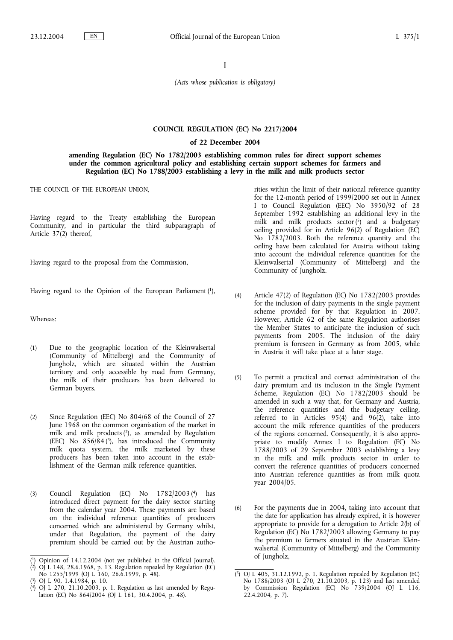I

*(Acts whose publication is obligatory)*

## **COUNCIL REGULATION (EC) No 2217/2004**

## **of 22 December 2004**

**amending Regulation (EC) No 1782/2003 establishing common rules for direct support schemes under the common agricultural policy and establishing certain support schemes for farmers and Regulation (EC) No 1788/2003 establishing a levy in the milk and milk products sector**

THE COUNCIL OF THE EUROPEAN UNION,

Having regard to the Treaty establishing the European Community, and in particular the third subparagraph of Article 37(2) thereof,

Having regard to the proposal from the Commission,

Having regard to the Opinion of the European Parliament (1),

Whereas:

- (1) Due to the geographic location of the Kleinwalsertal (Community of Mittelberg) and the Community of Jungholz, which are situated within the Austrian territory and only accessible by road from Germany, the milk of their producers has been delivered to German buyers.
- (2) Since Regulation (EEC) No 804/68 of the Council of 27 June 1968 on the common organisation of the market in milk and milk products  $(2)$ , as amended by Regulation (EEC) No  $856/84$  (3), has introduced the Community milk quota system, the milk marketed by these producers has been taken into account in the establishment of the German milk reference quantities.
- (3) Council Regulation (EC) No 1782/2003 (4) has introduced direct payment for the dairy sector starting from the calendar year 2004. These payments are based on the individual reference quantities of producers concerned which are administered by Germany whilst, under that Regulation, the payment of the dairy premium should be carried out by the Austrian autho-

rities within the limit of their national reference quantity for the 12-month period of 1999/2000 set out in Annex I to Council Regulation (EEC) No 3950/92 of 28 September 1992 establishing an additional levy in the milk and milk products sector (5) and a budgetary ceiling provided for in Article 96(2) of Regulation (EC) No 1782/2003. Both the reference quantity and the ceiling have been calculated for Austria without taking into account the individual reference quantities for the Kleinwalsertal (Community of Mittelberg) and the Community of Jungholz.

- (4) Article 47(2) of Regulation (EC) No 1782/2003 provides for the inclusion of dairy payments in the single payment scheme provided for by that Regulation in 2007. However, Article 62 of the same Regulation authorises the Member States to anticipate the inclusion of such payments from 2005. The inclusion of the dairy premium is foreseen in Germany as from 2005, while in Austria it will take place at a later stage.
- (5) To permit a practical and correct administration of the dairy premium and its inclusion in the Single Payment Scheme, Regulation (EC) No 1782/2003 should be amended in such a way that, for Germany and Austria, the reference quantities and the budgetary ceiling, referred to in Articles  $95(4)$  and  $96(2)$ , take into account the milk reference quantities of the producers of the regions concerned. Consequently, it is also appropriate to modify Annex I to Regulation (EC) No 1788/2003 of 29 September 2003 establishing a levy in the milk and milk products sector in order to convert the reference quantities of producers concerned into Austrian reference quantities as from milk quota year 2004/05.
- (6) For the payments due in 2004, taking into account that the date for application has already expired, it is however appropriate to provide for a derogation to Article 2(b) of Regulation (EC) No 1782/2003 allowing Germany to pay the premium to farmers situated in the Austrian Kleinwalsertal (Community of Mittelberg) and the Community of Jungholz,

<sup>(</sup> 1) Opinion of 14.12.2004 (not yet published in the Official Journal).

<sup>(</sup> 2) OJ L 148, 28.6.1968, p. 13. Regulation repealed by Regulation (EC)

No 1255/1999 (OJ L 160, 26.6.1999, p. 48). ( 3) OJ L 90, 1.4.1984, p. 10.

 $(4)$  $\overrightarrow{O}$ J L 270, 21.10.2003, p. 1. Regulation as last amended by Regulation (EC) No 864/2004 (OJ L 161, 30.4.2004, p. 48).

<sup>(</sup> 5) OJ L 405, 31.12.1992, p. 1. Regulation repealed by Regulation (EC) No 1788/2003 (OJ L 270, 21.10.2003, p. 123) and last amended by Commission Regulation (EC) No 739/2004 (OJ L 116, 22.4.2004, p. 7).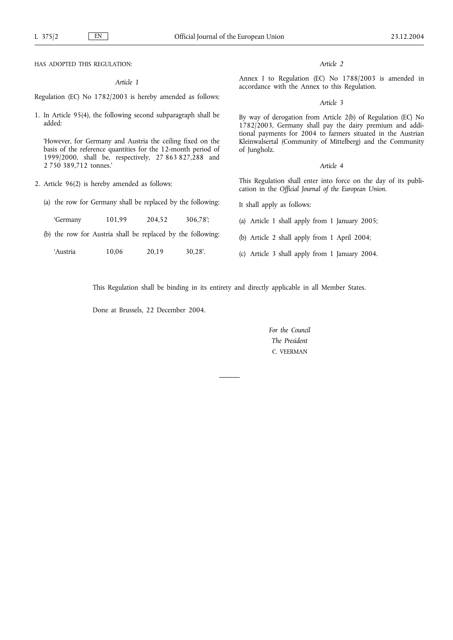HAS ADOPTED THIS REGULATION:

*Article 1*

Regulation (EC) No 1782/2003 is hereby amended as follows:

1. In Article 95(4), the following second subparagraph shall be added:

'However, for Germany and Austria the ceiling fixed on the basis of the reference quantities for the 12-month period of 1999/2000, shall be, respectively, 27 863 827,288 and 2 750 389,712 tonnes.'

- 2. Article 96(2) is hereby amended as follows:
	- (a) the row for Germany shall be replaced by the following:

'Germany 101,99 204,52 306,78';

(b) the row for Austria shall be replaced by the following:

'Austria 10,06 20,19 30,28'.

*Article 2*

Annex I to Regulation (EC) No 1788/2003 is amended in accordance with the Annex to this Regulation.

*Article 3*

By way of derogation from Article 2(b) of Regulation (EC) No 1782/2003, Germany shall pay the dairy premium and additional payments for 2004 to farmers situated in the Austrian Kleinwalsertal (Community of Mittelberg) and the Community of Jungholz.

#### *Article 4*

This Regulation shall enter into force on the day of its publication in the *Official Journal of the European Union*.

It shall apply as follows:

(a) Article 1 shall apply from 1 January 2005;

(b) Article 2 shall apply from 1 April 2004;

(c) Article 3 shall apply from 1 January 2004.

This Regulation shall be binding in its entirety and directly applicable in all Member States.

Done at Brussels, 22 December 2004.

*For the Council The President* C. VEERMAN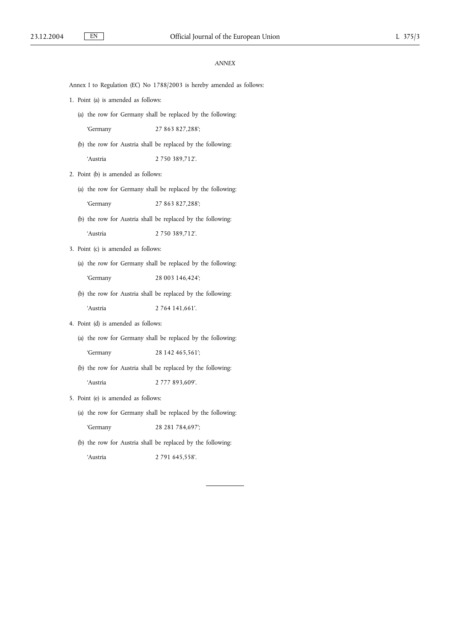## *ANNEX*

Annex I to Regulation (EC) No 1788/2003 is hereby amended as follows:

- 1. Point (a) is amended as follows:
	- (a) the row for Germany shall be replaced by the following:

'Germany 27 863 827,288';

(b) the row for Austria shall be replaced by the following:

'Austria 2 750 389,712'.

2. Point (b) is amended as follows:

(a) the row for Germany shall be replaced by the following:

'Germany 27 863 827,288';

(b) the row for Austria shall be replaced by the following:

'Austria 2 750 389,712'.

3. Point (c) is amended as follows:

(a) the row for Germany shall be replaced by the following:

'Germany 28 003 146,424';

- (b) the row for Austria shall be replaced by the following: 'Austria 2 764 141,661'.
- 4. Point (d) is amended as follows:
	- (a) the row for Germany shall be replaced by the following:

'Germany 28 142 465,561';

- (b) the row for Austria shall be replaced by the following: 'Austria 2 777 893,609'.
- 5. Point (e) is amended as follows:
	- (a) the row for Germany shall be replaced by the following: 'Germany 28 281 784,697';
	- (b) the row for Austria shall be replaced by the following:

'Austria 2 791 645,558'.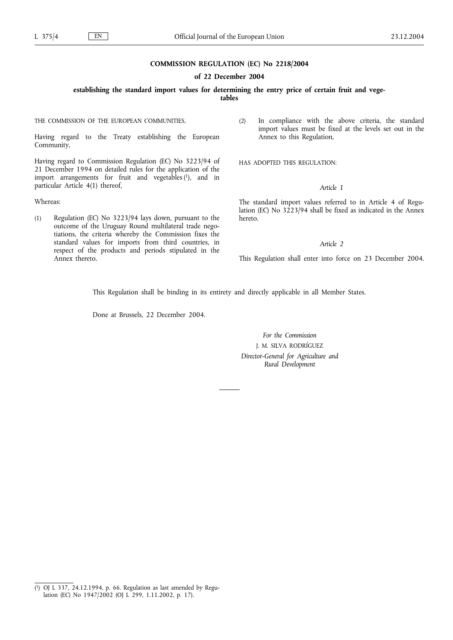## **COMMISSION REGULATION (EC) No 2218/2004**

## **of 22 December 2004**

## **establishing the standard import values for determining the entry price of certain fruit and vege-**

**tables**

THE COMMISSION OF THE EUROPEAN COMMUNITIES,

Having regard to the Treaty establishing the European Community,

Having regard to Commission Regulation (EC) No 3223/94 of 21 December 1994 on detailed rules for the application of the import arrangements for fruit and vegetables (1), and in particular Article 4(1) thereof,

Whereas:

(1) Regulation (EC) No 3223/94 lays down, pursuant to the outcome of the Uruguay Round multilateral trade negotiations, the criteria whereby the Commission fixes the standard values for imports from third countries, in respect of the products and periods stipulated in the Annex thereto.

(2) In compliance with the above criteria, the standard import values must be fixed at the levels set out in the Annex to this Regulation,

HAS ADOPTED THIS REGULATION:

## *Article 1*

The standard import values referred to in Article 4 of Regulation (EC) No 3223/94 shall be fixed as indicated in the Annex hereto.

## *Article 2*

This Regulation shall enter into force on 23 December 2004.

This Regulation shall be binding in its entirety and directly applicable in all Member States.

Done at Brussels, 22 December 2004.

*For the Commission* J. M. SILVA RODRÍGUEZ *Director-General for Agriculture and Rural Development*

 $(1)$ 1) OJ L 337, 24.12.1994, p. 66. Regulation as last amended by Regulation (EC) No 1947/2002 (OJ L 299, 1.11.2002, p. 17).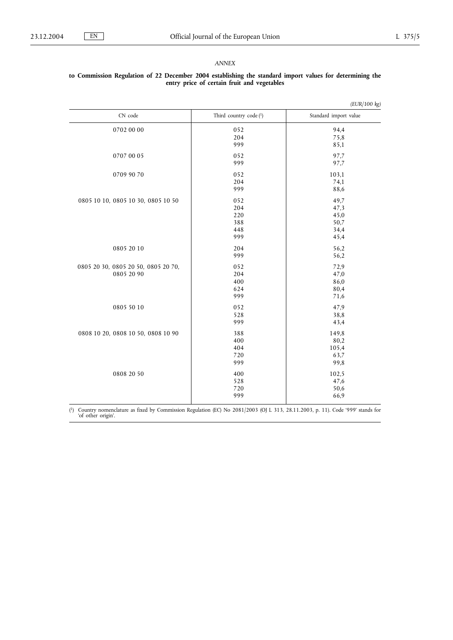## *(EUR/100 kg)* CN code Third country code (1) Standard import value  $0702\ 00\ 00$   $052$   $04.4$   $75.8$ 204 75,8<br>999 85,1 85,1  $0707\ 00\ 05$   $052$   $97.7$   $97.7$ 97,7  $0709\ 90\ 70$   $052$   $103,1$   $74.1$ 204 74,1 999 88,6 0805 10 10, 0805 10 30, 0805 10 50 052 49,7  $\begin{array}{c|c}\n 204 & 47,3 \\
220 & 45,0\n \end{array}$ 220 45,0<br>388 50,7 388 50,7 448 34,4<br>999 45,4 45,4  $0805\ 20\ 10$   $204$   $56,2$ <br>999  $56,2$ 56,2 0805 20 30, 0805 20 50, 0805 20 70, 0805 20 90 052 72,9  $\begin{array}{cc} 204 & 47,0 \\ 400 & 86,0 \end{array}$ 400 86,0  $624$ <br>999 71,6  $71,6$  $0805\,50\,10$   $052$   $47,9$ <br> $528$   $38,8$ 528 38,8<br>999 43,4 999 43,4 0808 10 20, 0808 10 50, 0808 10 90 388 1090 388 149,8 400 80,2<br>404 105.4  $404$ <br>  $720$ <br>  $63.7$ 720 63,7<br>999 99,8 999 99,8 0808 20 50 400 400 102,5 528 47,6<br>720 50,6 720 50,6 999 66,9

## **to Commission Regulation of 22 December 2004 establishing the standard import values for determining the entry price of certain fruit and vegetables**

 $(1)$ 1) Country nomenclature as fixed by Commission Regulation (EC) No 2081/2003 (OJ L 313, 28.11.2003, p. 11). Code '999' stands for 'of other origin'.

## *ANNEX*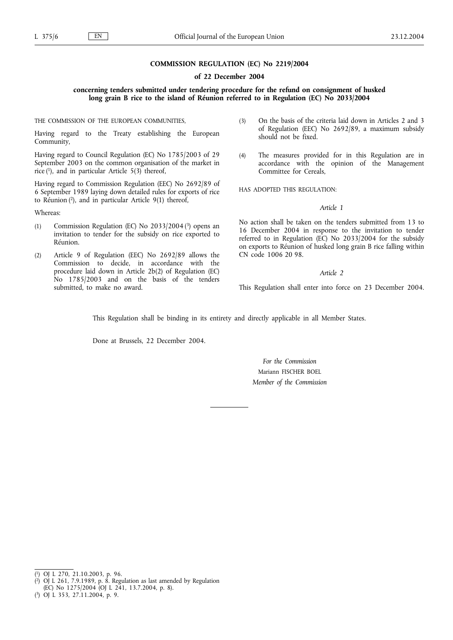## **COMMISSION REGULATION (EC) No 2219/2004**

## **of 22 December 2004**

**concerning tenders submitted under tendering procedure for the refund on consignment of husked long grain B rice to the island of Réunion referred to in Regulation (EC) No 2033/2004**

THE COMMISSION OF THE EUROPEAN COMMUNITIES,

Having regard to the Treaty establishing the European Community,

Having regard to Council Regulation (EC) No 1785/2003 of 29 September 2003 on the common organisation of the market in rice  $(1)$ , and in particular Article 5(3) thereof,

Having regard to Commission Regulation (EEC) No 2692/89 of 6 September 1989 laying down detailed rules for exports of rice to Réunion  $(2)$ , and in particular Article  $9(1)$  thereof,

Whereas:

- (1) Commission Regulation (EC) No  $2033/2004$  (3) opens an invitation to tender for the subsidy on rice exported to Réunion.
- (2) Article 9 of Regulation (EEC) No 2692/89 allows the Commission to decide, in accordance with the procedure laid down in Article 2b(2) of Regulation (EC) No 1785/2003 and on the basis of the tenders submitted, to make no award.
- (3) On the basis of the criteria laid down in Articles 2 and 3 of Regulation (EEC) No 2692/89, a maximum subsidy should not be fixed.
- (4) The measures provided for in this Regulation are in accordance with the opinion of the Management Committee for Cereals,

HAS ADOPTED THIS REGULATION:

#### *Article 1*

No action shall be taken on the tenders submitted from 13 to 16 December 2004 in response to the invitation to tender referred to in Regulation (EC) No 2033/2004 for the subsidy on exports to Réunion of husked long grain B rice falling within CN code 1006 20 98.

## *Article 2*

This Regulation shall enter into force on 23 December 2004.

This Regulation shall be binding in its entirety and directly applicable in all Member States.

Done at Brussels, 22 December 2004.

*For the Commission* Mariann FISCHER BOEL *Member of the Commission*

- ( 2) OJ L 261, 7.9.1989, p. 8. Regulation as last amended by Regulation
- (EC) No 1275/2004 (OJ L 241, 13.7.2004, p. 8).

<sup>(</sup> 1) OJ L 270, 21.10.2003, p. 96.

<sup>(</sup> 3) OJ L 353, 27.11.2004, p. 9.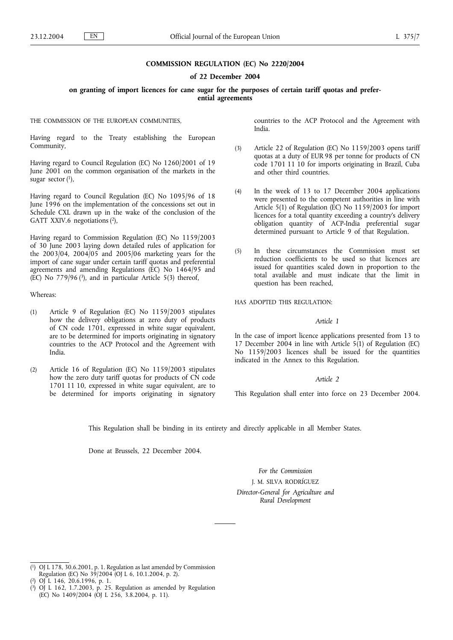## **COMMISSION REGULATION (EC) No 2220/2004**

## **of 22 December 2004**

## **on granting of import licences for cane sugar for the purposes of certain tariff quotas and preferential agreements**

THE COMMISSION OF THE EUROPEAN COMMUNITIES,

Having regard to the Treaty establishing the European Community,

Having regard to Council Regulation (EC) No 1260/2001 of 19 June 2001 on the common organisation of the markets in the sugar sector  $(1)$ ,

Having regard to Council Regulation (EC) No 1095/96 of 18 June 1996 on the implementation of the concessions set out in Schedule CXL drawn up in the wake of the conclusion of the GATT XXIV.6 negotiations (2),

Having regard to Commission Regulation (EC) No 1159/2003 of 30 June 2003 laying down detailed rules of application for the 2003/04, 2004/05 and 2005/06 marketing years for the import of cane sugar under certain tariff quotas and preferential agreements and amending Regulations (EC) No 1464/95 and (EC) No  $779/96$  (3), and in particular Article 5(3) thereof,

## Whereas:

- (1) Article 9 of Regulation (EC) No 1159/2003 stipulates how the delivery obligations at zero duty of products of CN code 1701, expressed in white sugar equivalent, are to be determined for imports originating in signatory countries to the ACP Protocol and the Agreement with India.
- (2) Article 16 of Regulation (EC) No 1159/2003 stipulates how the zero duty tariff quotas for products of CN code 1701 11 10, expressed in white sugar equivalent, are to be determined for imports originating in signatory

countries to the ACP Protocol and the Agreement with India.

- (3) Article 22 of Regulation (EC) No 1159/2003 opens tariff quotas at a duty of EUR 98 per tonne for products of CN code 1701 11 10 for imports originating in Brazil, Cuba and other third countries.
- (4) In the week of 13 to 17 December 2004 applications were presented to the competent authorities in line with Article 5(1) of Regulation (EC) No 1159/2003 for import licences for a total quantity exceeding a country's delivery obligation quantity of ACP-India preferential sugar determined pursuant to Article 9 of that Regulation.
- (5) In these circumstances the Commission must set reduction coefficients to be used so that licences are issued for quantities scaled down in proportion to the total available and must indicate that the limit in question has been reached,

HAS ADOPTED THIS REGULATION:

## *Article 1*

In the case of import licence applications presented from 13 to 17 December 2004 in line with Article 5(1) of Regulation (EC) No 1159/2003 licences shall be issued for the quantities indicated in the Annex to this Regulation.

## *Article 2*

This Regulation shall enter into force on 23 December 2004.

This Regulation shall be binding in its entirety and directly applicable in all Member States.

Done at Brussels, 22 December 2004.

*For the Commission* J. M. SILVA RODRÍGUEZ *Director-General for Agriculture and Rural Development*

( 1) OJ L 178, 30.6.2001, p. 1. Regulation as last amended by Commission Regulation (EC) No 39/2004 (OJ L 6, 10.1.2004, p. 2).

- ( 2) OJ L 146, 20.6.1996, p. 1.
- $(3)$ 3) OJ L 162, 1.7.2003, p. 25. Regulation as amended by Regulation (EC) No 1409/2004 (OJ L 256, 3.8.2004, p. 11).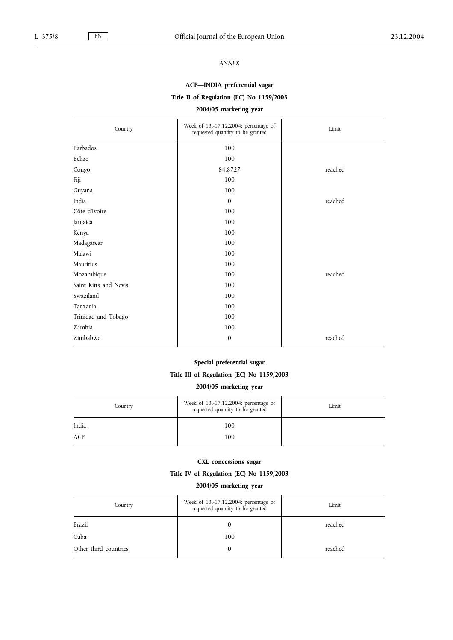## *ANNEX*

## **ACP***—***INDIA preferential sugar**

## **Title II of Regulation (EC) No 1159/2003**

## **2004/05 marketing year**

| Country               | Week of 13.-17.12.2004: percentage of<br>requested quantity to be granted | Limit   |
|-----------------------|---------------------------------------------------------------------------|---------|
| Barbados              | 100                                                                       |         |
| Belize                | 100                                                                       |         |
| Congo                 | 84,8727                                                                   | reached |
| Fiji                  | 100                                                                       |         |
| Guyana                | 100                                                                       |         |
| India                 | $\mathbf{0}$                                                              | reached |
| Côte d'Ivoire         | 100                                                                       |         |
| Jamaica               | 100                                                                       |         |
| Kenya                 | 100                                                                       |         |
| Madagascar            | 100                                                                       |         |
| Malawi                | 100                                                                       |         |
| Mauritius             | 100                                                                       |         |
| Mozambique            | 100                                                                       | reached |
| Saint Kitts and Nevis | 100                                                                       |         |
| Swaziland             | 100                                                                       |         |
| Tanzania              | 100                                                                       |         |
| Trinidad and Tobago   | 100                                                                       |         |
| Zambia                | 100                                                                       |         |
| Zimbabwe              | $\mathbf{0}$                                                              | reached |

## **Special preferential sugar**

## **Title III of Regulation (EC) No 1159/2003**

## **2004/05 marketing year**

| Country    | Week of 13.-17.12.2004: percentage of<br>requested quantity to be granted | Limit |
|------------|---------------------------------------------------------------------------|-------|
| India      | 100                                                                       |       |
| <b>ACP</b> | 100                                                                       |       |

## **CXL concessions sugar**

## **Title IV of Regulation (EC) No 1159/2003**

## **2004/05 marketing year**

| Country               | Week of 13.-17.12.2004: percentage of<br>requested quantity to be granted | Limit   |
|-----------------------|---------------------------------------------------------------------------|---------|
| Brazil                |                                                                           | reached |
| Cuba                  | 100                                                                       |         |
| Other third countries |                                                                           | reached |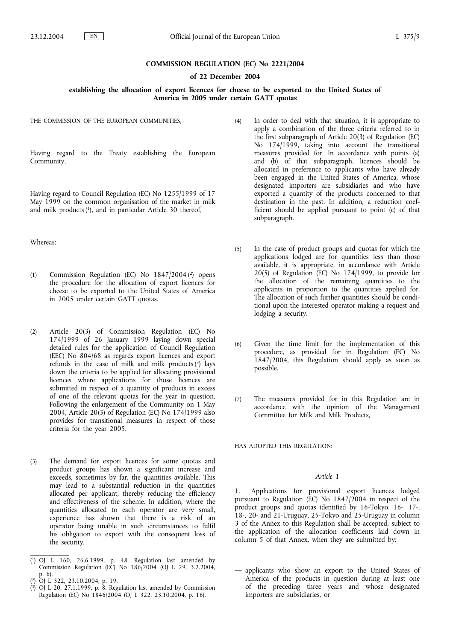## **COMMISSION REGULATION (EC) No 2221/2004**

## **of 22 December 2004**

## **establishing the allocation of export licences for cheese to be exported to the United States of America in 2005 under certain GATT quotas**

THE COMMISSION OF THE EUROPEAN COMMUNITIES,

Having regard to the Treaty establishing the European Community,

Having regard to Council Regulation (EC) No 1255/1999 of 17 May 1999 on the common organisation of the market in milk and milk products (1), and in particular Article 30 thereof,

#### Whereas:

- (1) Commission Regulation (EC) No 1847/2004 (2) opens the procedure for the allocation of export licences for cheese to be exported to the United States of America in 2005 under certain GATT quotas.
- (2) Article 20(3) of Commission Regulation (EC) No 174/1999 of 26 January 1999 laying down special detailed rules for the application of Council Regulation (EEC) No 804/68 as regards export licences and export refunds in the case of milk and milk products $(3)$  lays down the criteria to be applied for allocating provisional licences where applications for those licences are submitted in respect of a quantity of products in excess of one of the relevant quotas for the year in question. Following the enlargement of the Community on 1 May 2004, Article 20(3) of Regulation (EC) No 174/1999 also provides for transitional measures in respect of those criteria for the year 2005.
- (3) The demand for export licences for some quotas and product groups has shown a significant increase and exceeds, sometimes by far, the quantities available. This may lead to a substantial reduction in the quantities allocated per applicant, thereby reducing the efficiency and effectiveness of the scheme. In addition, where the quantities allocated to each operator are very small, experience has shown that there is a risk of an operator being unable in such circumstances to fulfil his obligation to export with the consequent loss of the security.
- (4) In order to deal with that situation, it is appropriate to apply a combination of the three criteria referred to in the first subparagraph of Article 20(3) of Regulation (EC) No 174/1999, taking into account the transitional measures provided for. In accordance with points (a) and (b) of that subparagraph, licences should be allocated in preference to applicants who have already been engaged in the United States of America, whose designated importers are subsidiaries and who have exported a quantity of the products concerned to that destination in the past. In addition, a reduction coefficient should be applied pursuant to point (c) of that subparagraph.
- (5) In the case of product groups and quotas for which the applications lodged are for quantities less than those available, it is appropriate, in accordance with Article 20(5) of Regulation (EC) No 174/1999, to provide for the allocation of the remaining quantities to the applicants in proportion to the quantities applied for. The allocation of such further quantities should be conditional upon the interested operator making a request and lodging a security.
- (6) Given the time limit for the implementation of this procedure, as provided for in Regulation (EC) No 1847/2004, this Regulation should apply as soon as possible.
- (7) The measures provided for in this Regulation are in accordance with the opinion of the Management Committee for Milk and Milk Products,

HAS ADOPTED THIS REGULATION:

#### *Article 1*

1. Applications for provisional export licences lodged pursuant to Regulation (EC) No 1847/2004 in respect of the product groups and quotas identified by 16-Tokyo, 16-, 17-, 18-, 20- and 21-Uruguay, 25-Tokyo and 25-Uruguay in column 3 of the Annex to this Regulation shall be accepted, subject to the application of the allocation coefficients laid down in column 5 of that Annex, when they are submitted by:

— applicants who show an export to the United States of America of the products in question during at least one of the preceding three years and whose designated importers are subsidiaries, or

<sup>(</sup> 1) OJ L 160, 26.6.1999, p. 48. Regulation last amended by Commission Regulation (EC) No 186/2004 (OJ L 29, 3.2.2004, p. 6).

<sup>(</sup> 2) OJ L 322, 23.10.2004, p. 19.

 $(3)$ 3) OJ L 20, 27.1.1999, p. 8. Regulation last amended by Commission Regulation (EC) No 1846/2004 (OJ L 322, 23.10.2004, p. 16).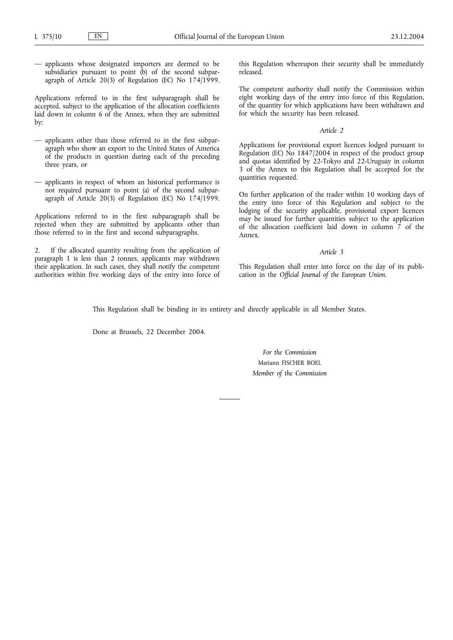— applicants whose designated importers are deemed to be subsidiaries pursuant to point (b) of the second subparagraph of Article 20(3) of Regulation (EC) No 174/1999.

Applications referred to in the first subparagraph shall be accepted, subject to the application of the allocation coefficients laid down in column 6 of the Annex, when they are submitted by:

- applicants other than those referred to in the first subparagraph who show an export to the United States of America of the products in question during each of the preceding three years, or
- applicants in respect of whom an historical performance is not required pursuant to point (a) of the second subparagraph of Article 20(3) of Regulation (EC) No 174/1999.

Applications referred to in the first subparagraph shall be rejected when they are submitted by applicants other than those referred to in the first and second subparagraphs.

2. If the allocated quantity resulting from the application of paragraph 1 is less than 2 tonnes, applicants may withdrawn their application. In such cases, they shall notify the competent authorities within five working days of the entry into force of

this Regulation whereupon their security shall be immediately released.

The competent authority shall notify the Commission within eight working days of the entry into force of this Regulation, of the quantity for which applications have been withdrawn and for which the security has been released.

## *Article 2*

Applications for provisional export licences lodged pursuant to Regulation (EC) No 1847/2004 in respect of the product group and quotas identified by 22-Tokyo and 22-Uruguay in column 3 of the Annex to this Regulation shall be accepted for the quantities requested.

On further application of the trader within 10 working days of the entry into force of this Regulation and subject to the lodging of the security applicable, provisional export licences may be issued for further quantities subject to the application of the allocation coefficient laid down in column 7 of the Annex.

## *Article 3*

This Regulation shall enter into force on the day of its publication in the *Official Journal of the European Union*.

This Regulation shall be binding in its entirety and directly applicable in all Member States.

Done at Brussels, 22 December 2004.

*For the Commission* Mariann FISCHER BOEL *Member of the Commission*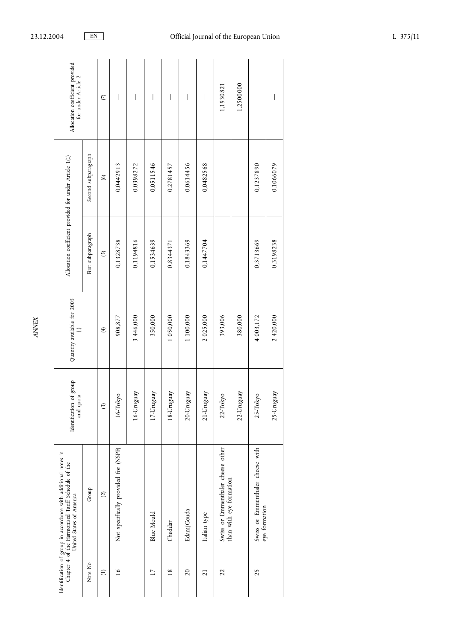| Allocation coefficient provided<br>for under Article 2                                                                                           |                     | $\odot$        | I                                    | I          | I                 |               | $\overline{\phantom{a}}$ | I               | 1,1930821                                                    | 1,2500000     |                                                   | I          |
|--------------------------------------------------------------------------------------------------------------------------------------------------|---------------------|----------------|--------------------------------------|------------|-------------------|---------------|--------------------------|-----------------|--------------------------------------------------------------|---------------|---------------------------------------------------|------------|
| Allocation coefficient provided for under Article 1(1)                                                                                           | Second subparagraph | $\circledcirc$ | 0,0442913                            | 0,0398272  | 0,0511546         | 0,2781457     | 0,0614456                | 0,0482568       |                                                              |               | 0,1237890                                         | 0,1066079  |
|                                                                                                                                                  | First subparagraph  | $\odot$        | 0,1328738                            | 0,1194816  | 0,1534639         | 0,8344371     | 0,1843369                | 0,1447704       |                                                              |               | 0,3713669                                         | 0,3198238  |
| Quantity available for 2005<br>e                                                                                                                 |                     | $\widehat{f}$  | 908,877                              | 3 446,000  | 350,000           | 1050,000      | 1 100,000                | 2025,000        | 393,006                                                      | 380,000       | 4 003,172                                         | 2 420,000  |
| Identification of group<br>and quota                                                                                                             |                     | $\circled{3}$  | $16-7$ okyo                          | 16-Uruguay | $17$ -Uruguay     | $18$ -Uruguay | $20$ -Uruguay            | 21-Uruguay      | 22-Tokyo                                                     | $22$ -Uruguay | 25-Tokyo                                          | 25-Uruguay |
| Identification of group in accordance with additional notes in<br>Chapter 4 of the Harmonised Tariff Schedule of the<br>United States of America | Group               | $\odot$        | Not specifically provided for (NSPF) |            | <b>Blue Mould</b> | Cheddar       | Edam/Gouda               | Italian type    | Swiss or Emmenthaler cheese other<br>than with eye formation |               | Swiss or Emmenthaler cheese with<br>eye formation |            |
|                                                                                                                                                  | Note No             | $\widehat{E}$  | $\frac{6}{1}$                        |            | 17                | $\frac{8}{2}$ | 20                       | $\overline{21}$ | 22                                                           |               | 25                                                |            |

*ANNEX*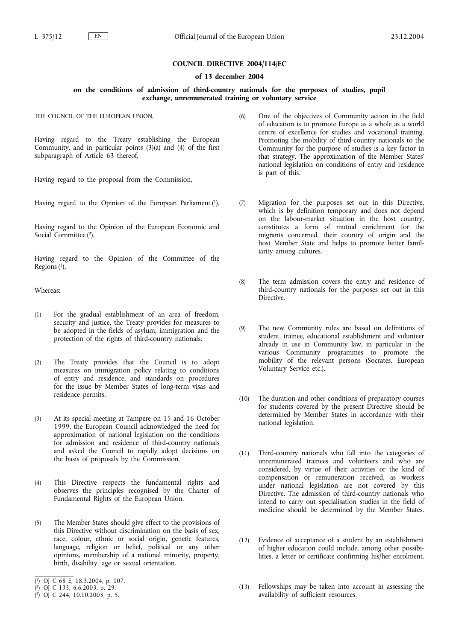## **COUNCIL DIRECTIVE 2004/114/EC**

## **of 13 december 2004**

## **on the conditions of admission of third-country nationals for the purposes of studies, pupil exchange, unremunerated training or voluntary service**

THE COUNCIL OF THE EUROPEAN UNION.

Having regard to the Treaty establishing the European Community, and in particular points (3)(a) and (4) of the first subparagraph of Article 63 thereof,

Having regard to the proposal from the Commission,

Having regard to the Opinion of the European Parliament (1),

Having regard to the Opinion of the European Economic and Social Committee (2),

Having regard to the Opinion of the Committee of the Regions  $(3)$ ,

Whereas:

- (1) For the gradual establishment of an area of freedom, security and justice, the Treaty provides for measures to be adopted in the fields of asylum, immigration and the protection of the rights of third-country nationals.
- (2) The Treaty provides that the Council is to adopt measures on immigration policy relating to conditions of entry and residence, and standards on procedures for the issue by Member States of long-term visas and residence permits.
- (3) At its special meeting at Tampere on 15 and 16 October 1999, the European Council acknowledged the need for approximation of national legislation on the conditions for admission and residence of third-country nationals and asked the Council to rapidly adopt decisions on the basis of proposals by the Commission.
- (4) This Directive respects the fundamental rights and observes the principles recognised by the Charter of Fundamental Rights of the European Union.
- (5) The Member States should give effect to the provisions of this Directive without discrimination on the basis of sex, race, colour, ethnic or social origin, genetic features, language, religion or belief, political or any other opinions, membership of a national minority, property, birth, disability, age or sexual orientation.
- (6) One of the objectives of Community action in the field of education is to promote Europe as a whole as a world centre of excellence for studies and vocational training. Promoting the mobility of third-country nationals to the Community for the purpose of studies is a key factor in that strategy. The approximation of the Member States' national legislation on conditions of entry and residence is part of this.
- (7) Migration for the purposes set out in this Directive, which is by definition temporary and does not depend on the labour-market situation in the host country, constitutes a form of mutual enrichment for the migrants concerned, their country of origin and the host Member State and helps to promote better familiarity among cultures.
- (8) The term admission covers the entry and residence of third-country nationals for the purposes set out in this Directive.
- (9) The new Community rules are based on definitions of student, trainee, educational establishment and volunteer already in use in Community law, in particular in the various Community programmes to promote the mobility of the relevant persons (Socrates, European Voluntary Service etc.).
- (10) The duration and other conditions of preparatory courses for students covered by the present Directive should be determined by Member States in accordance with their national legislation.
- (11) Third-country nationals who fall into the categories of unremunerated trainees and volunteers and who are considered, by virtue of their activities or the kind of compensation or remuneration received, as workers under national legislation are not covered by this Directive. The admission of third-country nationals who intend to carry out specialisation studies in the field of medicine should be determined by the Member States.
- (12) Evidence of acceptance of a student by an establishment of higher education could include, among other possibilities, a letter or certificate confirming his/her enrolment.
- (13) Fellowships may be taken into account in assessing the availability of sufficient resources.

<sup>(</sup> 1) OJ C 68 E, 18.3.2004, p. 107.

<sup>(</sup> 2) OJ C 133, 6.6.2003, p. 29.

<sup>(</sup> 3) OJ C 244, 10.10.2003, p. 5.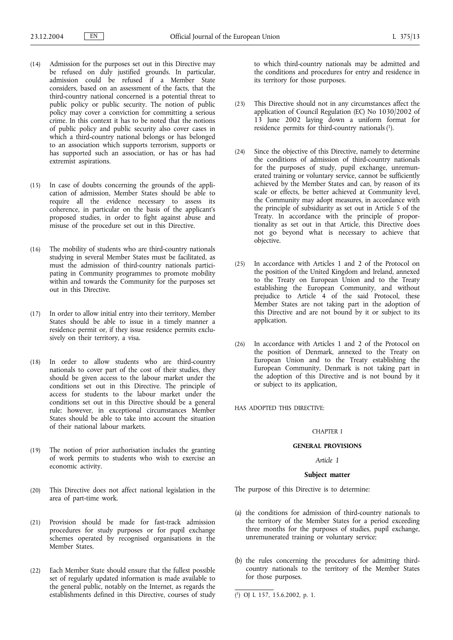- (14) Admission for the purposes set out in this Directive may be refused on duly justified grounds. In particular, admission could be refused if a Member State considers, based on an assessment of the facts, that the third-country national concerned is a potential threat to public policy or public security. The notion of public policy may cover a conviction for committing a serious crime. In this context it has to be noted that the notions of public policy and public security also cover cases in which a third-country national belongs or has belonged to an association which supports terrorism, supports or has supported such an association, or has or has had extremist aspirations.
- (15) In case of doubts concerning the grounds of the application of admission, Member States should be able to require all the evidence necessary to assess its coherence, in particular on the basis of the applicant's proposed studies, in order to fight against abuse and misuse of the procedure set out in this Directive.
- (16) The mobility of students who are third-country nationals studying in several Member States must be facilitated, as must the admission of third-country nationals participating in Community programmes to promote mobility within and towards the Community for the purposes set out in this Directive.
- (17) In order to allow initial entry into their territory, Member States should be able to issue in a timely manner a residence permit or, if they issue residence permits exclusively on their territory, a visa.
- (18) In order to allow students who are third-country nationals to cover part of the cost of their studies, they should be given access to the labour market under the conditions set out in this Directive. The principle of access for students to the labour market under the conditions set out in this Directive should be a general rule; however, in exceptional circumstances Member States should be able to take into account the situation of their national labour markets.
- (19) The notion of prior authorisation includes the granting of work permits to students who wish to exercise an economic activity.
- (20) This Directive does not affect national legislation in the area of part-time work.
- (21) Provision should be made for fast-track admission procedures for study purposes or for pupil exchange schemes operated by recognised organisations in the Member States.
- (22) Each Member State should ensure that the fullest possible set of regularly updated information is made available to the general public, notably on the Internet, as regards the establishments defined in this Directive, courses of study

to which third-country nationals may be admitted and the conditions and procedures for entry and residence in its territory for those purposes.

- (23) This Directive should not in any circumstances affect the application of Council Regulation (EC) No 1030/2002 of 13 June 2002 laying down a uniform format for residence permits for third-country nationals (1).
- (24) Since the objective of this Directive, namely to determine the conditions of admission of third-country nationals for the purposes of study, pupil exchange, unremunerated training or voluntary service, cannot be sufficiently achieved by the Member States and can, by reason of its scale or effects, be better achieved at Community level, the Community may adopt measures, in accordance with the principle of subsidiarity as set out in Article 5 of the Treaty. In accordance with the principle of proportionality as set out in that Article, this Directive does not go beyond what is necessary to achieve that objective.
- (25) In accordance with Articles 1 and 2 of the Protocol on the position of the United Kingdom and Ireland, annexed to the Treaty on European Union and to the Treaty establishing the European Community, and without prejudice to Article 4 of the said Protocol, these Member States are not taking part in the adoption of this Directive and are not bound by it or subject to its application.
- (26) In accordance with Articles 1 and 2 of the Protocol on the position of Denmark, annexed to the Treaty on European Union and to the Treaty establishing the European Community, Denmark is not taking part in the adoption of this Directive and is not bound by it or subject to its application,

HAS ADOPTED THIS DIRECTIVE:

#### CHAPTER I

## **GENERAL PROVISIONS**

## *Article 1*

#### **Subject matter**

The purpose of this Directive is to determine:

- (a) the conditions for admission of third-country nationals to the territory of the Member States for a period exceeding three months for the purposes of studies, pupil exchange, unremunerated training or voluntary service;
- (b) the rules concerning the procedures for admitting thirdcountry nationals to the territory of the Member States for those purposes.

<sup>(</sup> 1) OJ L 157, 15.6.2002, p. 1.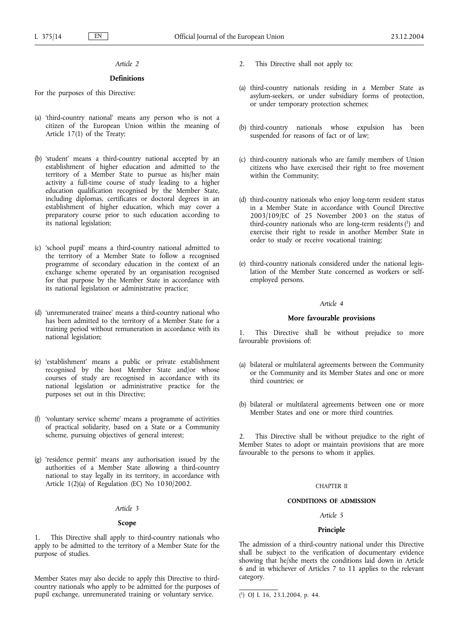#### **Definitions**

For the purposes of this Directive:

- (a) 'third-country national' means any person who is not a citizen of the European Union within the meaning of Article 17(1) of the Treaty;
- (b) 'student' means a third-country national accepted by an establishment of higher education and admitted to the territory of a Member State to pursue as his/her main activity a full-time course of study leading to a higher education qualification recognised by the Member State, including diplomas, certificates or doctoral degrees in an establishment of higher education, which may cover a preparatory course prior to such education according to its national legislation;
- (c) 'school pupil' means a third-country national admitted to the territory of a Member State to follow a recognised programme of secondary education in the context of an exchange scheme operated by an organisation recognised for that purpose by the Member State in accordance with its national legislation or administrative practice;
- (d) 'unremunerated trainee' means a third-country national who has been admitted to the territory of a Member State for a training period without remuneration in accordance with its national legislation;
- (e) 'establishment' means a public or private establishment recognised by the host Member State and/or whose courses of study are recognised in accordance with its national legislation or administrative practice for the purposes set out in this Directive;
- (f) 'voluntary service scheme' means a programme of activities of practical solidarity, based on a State or a Community scheme, pursuing objectives of general interest;
- (g) 'residence permit' means any authorisation issued by the authorities of a Member State allowing a third-country national to stay legally in its territory, in accordance with Article 1(2)(a) of Regulation (EC) No 1030/2002.

## *Article 3*

## **Scope**

1. This Directive shall apply to third-country nationals who apply to be admitted to the territory of a Member State for the purpose of studies.

Member States may also decide to apply this Directive to thirdcountry nationals who apply to be admitted for the purposes of pupil exchange, unremunerated training or voluntary service.

- 2. This Directive shall not apply to:
- (a) third-country nationals residing in a Member State as asylum-seekers, or under subsidiary forms of protection, or under temporary protection schemes;
- (b) third-country nationals whose expulsion has been suspended for reasons of fact or of law;
- (c) third-country nationals who are family members of Union citizens who have exercised their right to free movement within the Community;
- (d) third-country nationals who enjoy long-term resident status in a Member State in accordance with Council Directive 2003/109/EC of 25 November 2003 on the status of third-country nationals who are long-term residents  $(1)$  and exercise their right to reside in another Member State in order to study or receive vocational training;
- (e) third-country nationals considered under the national legislation of the Member State concerned as workers or selfemployed persons.

#### *Article 4*

## **More favourable provisions**

1. This Directive shall be without prejudice to more favourable provisions of:

- (a) bilateral or multilateral agreements between the Community or the Community and its Member States and one or more third countries; or
- (b) bilateral or multilateral agreements between one or more Member States and one or more third countries.

2. This Directive shall be without prejudice to the right of Member States to adopt or maintain provisions that are more favourable to the persons to whom it applies.

#### CHAPTER II

#### **CONDITIONS OF ADMISSION**

## *Article 5*

## **Principle**

The admission of a third-country national under this Directive shall be subject to the verification of documentary evidence showing that he/she meets the conditions laid down in Article 6 and in whichever of Articles 7 to 11 applies to the relevant category.

<sup>(</sup> 1) OJ L 16, 23.1.2004, p. 44.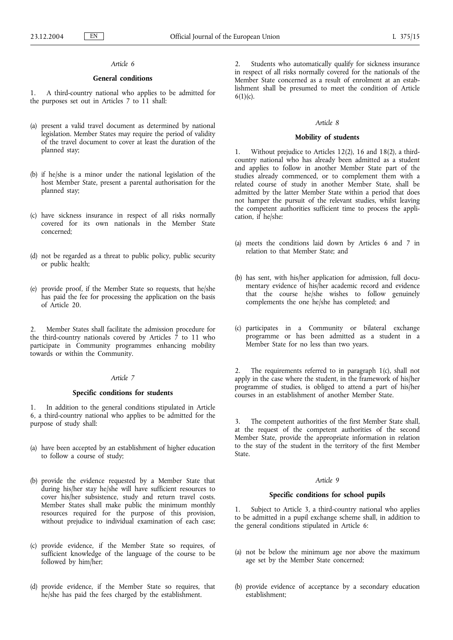## **General conditions**

1. A third-country national who applies to be admitted for the purposes set out in Articles 7 to 11 shall:

- (a) present a valid travel document as determined by national legislation. Member States may require the period of validity of the travel document to cover at least the duration of the planned stay;
- (b) if he/she is a minor under the national legislation of the host Member State, present a parental authorisation for the planned stay;
- (c) have sickness insurance in respect of all risks normally covered for its own nationals in the Member State concerned;
- (d) not be regarded as a threat to public policy, public security or public health;
- (e) provide proof, if the Member State so requests, that he/she has paid the fee for processing the application on the basis of Article 20.

2. Member States shall facilitate the admission procedure for the third-country nationals covered by Articles  $\hat{7}$  to 11 who participate in Community programmes enhancing mobility towards or within the Community.

## *Article 7*

## **Specific conditions for students**

In addition to the general conditions stipulated in Article 6, a third-country national who applies to be admitted for the purpose of study shall:

- (a) have been accepted by an establishment of higher education to follow a course of study;
- (b) provide the evidence requested by a Member State that during his/her stay he/she will have sufficient resources to cover his/her subsistence, study and return travel costs. Member States shall make public the minimum monthly resources required for the purpose of this provision, without prejudice to individual examination of each case;
- (c) provide evidence, if the Member State so requires, of sufficient knowledge of the language of the course to be followed by him/her;
- (d) provide evidence, if the Member State so requires, that he/she has paid the fees charged by the establishment.

Students who automatically qualify for sickness insurance in respect of all risks normally covered for the nationals of the Member State concerned as a result of enrolment at an establishment shall be presumed to meet the condition of Article  $6(1)(c)$ .

## *Article 8*

## **Mobility of students**

1. Without prejudice to Articles 12(2), 16 and 18(2), a thirdcountry national who has already been admitted as a student and applies to follow in another Member State part of the studies already commenced, or to complement them with a related course of study in another Member State, shall be admitted by the latter Member State within a period that does not hamper the pursuit of the relevant studies, whilst leaving the competent authorities sufficient time to process the application, if he/she:

- (a) meets the conditions laid down by Articles 6 and 7 in relation to that Member State; and
- (b) has sent, with his/her application for admission, full documentary evidence of his/her academic record and evidence that the course he/she wishes to follow genuinely complements the one he/she has completed; and
- (c) participates in a Community or bilateral exchange programme or has been admitted as a student in a Member State for no less than two years.

The requirements referred to in paragraph  $1(c)$ , shall not apply in the case where the student, in the framework of his/her programme of studies, is obliged to attend a part of his/her courses in an establishment of another Member State.

3. The competent authorities of the first Member State shall, at the request of the competent authorities of the second Member State, provide the appropriate information in relation to the stay of the student in the territory of the first Member State.

## *Article 9*

## **Specific conditions for school pupils**

Subject to Article 3, a third-country national who applies to be admitted in a pupil exchange scheme shall, in addition to the general conditions stipulated in Article 6:

- (a) not be below the minimum age nor above the maximum age set by the Member State concerned;
- (b) provide evidence of acceptance by a secondary education establishment;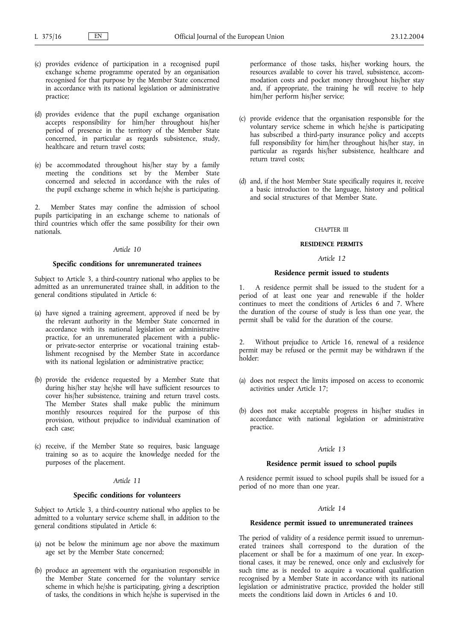- (c) provides evidence of participation in a recognised pupil exchange scheme programme operated by an organisation recognised for that purpose by the Member State concerned in accordance with its national legislation or administrative practice;
- (d) provides evidence that the pupil exchange organisation accepts responsibility for him/her throughout his/her period of presence in the territory of the Member State concerned, in particular as regards subsistence, study, healthcare and return travel costs;
- (e) be accommodated throughout his/her stay by a family meeting the conditions set by the Member State concerned and selected in accordance with the rules of the pupil exchange scheme in which he/she is participating.

2. Member States may confine the admission of school pupils participating in an exchange scheme to nationals of third countries which offer the same possibility for their own nationals.

#### *Article 10*

## **Specific conditions for unremunerated trainees**

Subject to Article 3, a third-country national who applies to be admitted as an unremunerated trainee shall, in addition to the general conditions stipulated in Article 6:

- (a) have signed a training agreement, approved if need be by the relevant authority in the Member State concerned in accordance with its national legislation or administrative practice, for an unremunerated placement with a publicor private-sector enterprise or vocational training establishment recognised by the Member State in accordance with its national legislation or administrative practice;
- (b) provide the evidence requested by a Member State that during his/her stay he/she will have sufficient resources to cover his/her subsistence, training and return travel costs. The Member States shall make public the minimum monthly resources required for the purpose of this provision, without prejudice to individual examination of each case;
- (c) receive, if the Member State so requires, basic language training so as to acquire the knowledge needed for the purposes of the placement.

## *Article 11*

## **Specific conditions for volunteers**

Subject to Article 3, a third-country national who applies to be admitted to a voluntary service scheme shall, in addition to the general conditions stipulated in Article 6:

- (a) not be below the minimum age nor above the maximum age set by the Member State concerned;
- (b) produce an agreement with the organisation responsible in the Member State concerned for the voluntary service scheme in which he/she is participating, giving a description of tasks, the conditions in which he/she is supervised in the

performance of those tasks, his/her working hours, the resources available to cover his travel, subsistence, accommodation costs and pocket money throughout his/her stay and, if appropriate, the training he will receive to help him/her perform his/her service;

- (c) provide evidence that the organisation responsible for the voluntary service scheme in which he/she is participating has subscribed a third-party insurance policy and accepts full responsibility for him/her throughout his/her stay, in particular as regards his/her subsistence, healthcare and return travel costs;
- (d) and, if the host Member State specifically requires it, receive a basic introduction to the language, history and political and social structures of that Member State.

#### CHAPTER III

#### **RESIDENCE PERMITS**

## *Article 12*

#### **Residence permit issued to students**

1. A residence permit shall be issued to the student for a period of at least one year and renewable if the holder continues to meet the conditions of Articles 6 and 7. Where the duration of the course of study is less than one year, the permit shall be valid for the duration of the course.

2. Without prejudice to Article 16, renewal of a residence permit may be refused or the permit may be withdrawn if the holder:

- (a) does not respect the limits imposed on access to economic activities under Article 17;
- (b) does not make acceptable progress in his/her studies in accordance with national legislation or administrative practice.

## *Article 13*

## **Residence permit issued to school pupils**

A residence permit issued to school pupils shall be issued for a period of no more than one year.

#### *Article 14*

## **Residence permit issued to unremunerated trainees**

The period of validity of a residence permit issued to unremunerated trainees shall correspond to the duration of the placement or shall be for a maximum of one year. In exceptional cases, it may be renewed, once only and exclusively for such time as is needed to acquire a vocational qualification recognised by a Member State in accordance with its national legislation or administrative practice, provided the holder still meets the conditions laid down in Articles 6 and 10.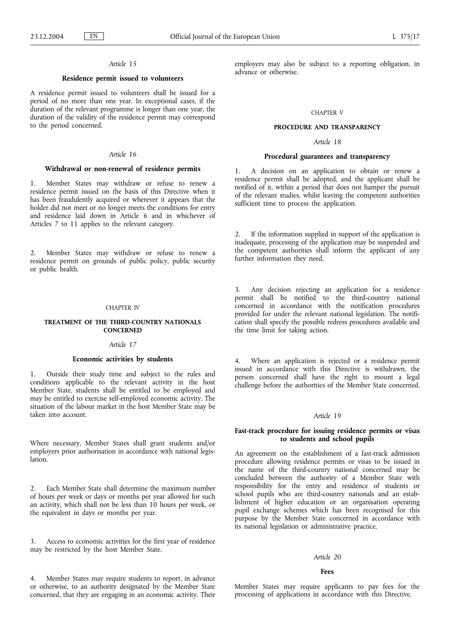## **Residence permit issued to volunteers**

A residence permit issued to volunteers shall be issued for a period of no more than one year. In exceptional cases, if the duration of the relevant programme is longer than one year, the duration of the validity of the residence permit may correspond to the period concerned.

## *Article 16*

## **Withdrawal or non-renewal of residence permits**

1. Member States may withdraw or refuse to renew a residence permit issued on the basis of this Directive when it has been fraudulently acquired or wherever it appears that the holder did not meet or no longer meets the conditions for entry and residence laid down in Article 6 and in whichever of Articles 7 to 11 applies to the relevant category.

2. Member States may withdraw or refuse to renew a residence permit on grounds of public policy, public security or public health.

#### CHAPTER IV

## **TREATMENT OF THE THIRD-COUNTRY NATIONALS CONCERNED**

#### *Article 17*

## **Economic activities by students**

1. Outside their study time and subject to the rules and conditions applicable to the relevant activity in the host Member State, students shall be entitled to be employed and may be entitled to exercise self-employed economic activity. The situation of the labour market in the host Member State may be taken into account.

Where necessary, Member States shall grant students and/or employers prior authorisation in accordance with national legislation<sup>1</sup>

Each Member State shall determine the maximum number of hours per week or days or months per year allowed for such an activity, which shall not be less than 10 hours per week, or the equivalent in days or months per year.

3. Access to economic activities for the first year of residence may be restricted by the host Member State.

4. Member States may require students to report, in advance or otherwise, to an authority designated by the Member State concerned, that they are engaging in an economic activity. Their employers may also be subject to a reporting obligation, in advance or otherwise.

## CHAPTER V

## **PROCEDURE AND TRANSPARENCY**

## *Article 18*

## **Procedural guarantees and transparency**

1. A decision on an application to obtain or renew a residence permit shall be adopted, and the applicant shall be notified of it, within a period that does not hamper the pursuit of the relevant studies, whilst leaving the competent authorities sufficient time to process the application.

If the information supplied in support of the application is inadequate, processing of the application may be suspended and the competent authorities shall inform the applicant of any further information they need.

3. Any decision rejecting an application for a residence permit shall be notified to the third-country national concerned in accordance with the notification procedures provided for under the relevant national legislation. The notification shall specify the possible redress procedures available and the time limit for taking action.

4. Where an application is rejected or a residence permit issued in accordance with this Directive is withdrawn, the person concerned shall have the right to mount a legal challenge before the authorities of the Member State concerned.

#### *Article 19*

## **Fast-track procedure for issuing residence permits or visas to students and school pupils**

An agreement on the establishment of a fast-track admission procedure allowing residence permits or visas to be issued in the name of the third-country national concerned may be concluded between the authority of a Member State with responsibility for the entry and residence of students or school pupils who are third-country nationals and an establishment of higher education or an organisation operating pupil exchange schemes which has been recognised for this purpose by the Member State concerned in accordance with its national legislation or administrative practice.

#### *Article 20*

## **Fees**

Member States may require applicants to pay fees for the processing of applications in accordance with this Directive.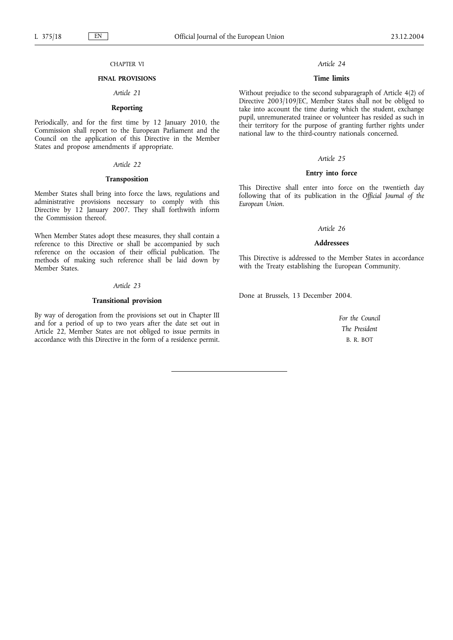## CHAPTER VI

## **FINAL PROVISIONS**

## *Article 21*

## **Reporting**

Periodically, and for the first time by 12 January 2010, the Commission shall report to the European Parliament and the Council on the application of this Directive in the Member States and propose amendments if appropriate.

#### *Article 22*

## **Transposition**

Member States shall bring into force the laws, regulations and administrative provisions necessary to comply with this Directive by 12 January 2007. They shall forthwith inform the Commission thereof.

When Member States adopt these measures, they shall contain a reference to this Directive or shall be accompanied by such reference on the occasion of their official publication. The methods of making such reference shall be laid down by Member States.

## *Article 23*

## **Transitional provision**

By way of derogation from the provisions set out in Chapter III and for a period of up to two years after the date set out in Article 22, Member States are not obliged to issue permits in accordance with this Directive in the form of a residence permit.

## *Article 24*

## **Time limits**

Without prejudice to the second subparagraph of Article 4(2) of Directive 2003/109/EC, Member States shall not be obliged to take into account the time during which the student, exchange pupil, unremunerated trainee or volunteer has resided as such in their territory for the purpose of granting further rights under national law to the third-country nationals concerned.

## *Article 25*

## **Entry into force**

This Directive shall enter into force on the twentieth day following that of its publication in the *Official Journal of the European Union*.

## *Article 26*

#### **Addressees**

This Directive is addressed to the Member States in accordance with the Treaty establishing the European Community.

Done at Brussels, 13 December 2004.

*For the Council The President* B. R. BOT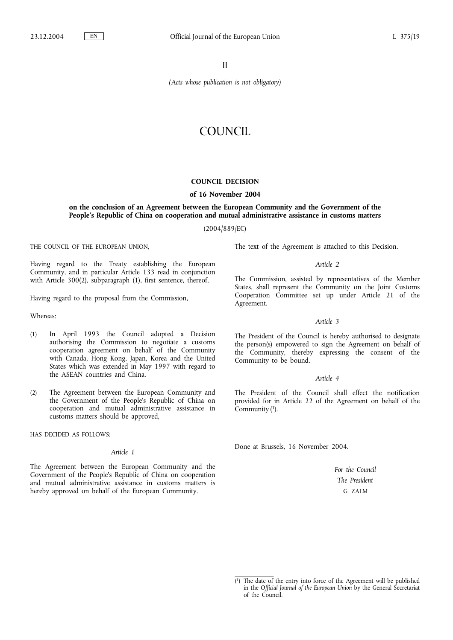II

*(Acts whose publication is not obligatory)*

# COUNCIL

## **COUNCIL DECISION**

## **of 16 November 2004**

## **on the conclusion of an Agreement between the European Community and the Government of the People***'***s Republic of China on cooperation and mutual administrative assistance in customs matters**

(2004/889/EC)

THE COUNCIL OF THE EUROPEAN UNION,

Having regard to the Treaty establishing the European Community, and in particular Article 133 read in conjunction with Article 300(2), subparagraph (1), first sentence, thereof,

Having regard to the proposal from the Commission,

Whereas:

- (1) In April 1993 the Council adopted a Decision authorising the Commission to negotiate a customs cooperation agreement on behalf of the Community with Canada, Hong Kong, Japan, Korea and the United States which was extended in May 1997 with regard to the ASEAN countries and China.
- (2) The Agreement between the European Community and the Government of the People's Republic of China on cooperation and mutual administrative assistance in customs matters should be approved,

HAS DECIDED AS FOLLOWS:

## *Article 1*

The Agreement between the European Community and the Government of the People's Republic of China on cooperation and mutual administrative assistance in customs matters is hereby approved on behalf of the European Community.

The text of the Agreement is attached to this Decision.

#### *Article 2*

The Commission, assisted by representatives of the Member States, shall represent the Community on the Joint Customs Cooperation Committee set up under Article 21 of the Agreement.

## *Article 3*

The President of the Council is hereby authorised to designate the person(s) empowered to sign the Agreement on behalf of the Community, thereby expressing the consent of the Community to be bound.

## *Article 4*

The President of the Council shall effect the notification provided for in Article 22 of the Agreement on behalf of the Community  $(1)$ .

Done at Brussels, 16 November 2004.

*For the Council The President* G. ZALM

<sup>(</sup> 1) The date of the entry into force of the Agreement will be published in the *Official Journal of the European Union* by the General Secretariat of the Council.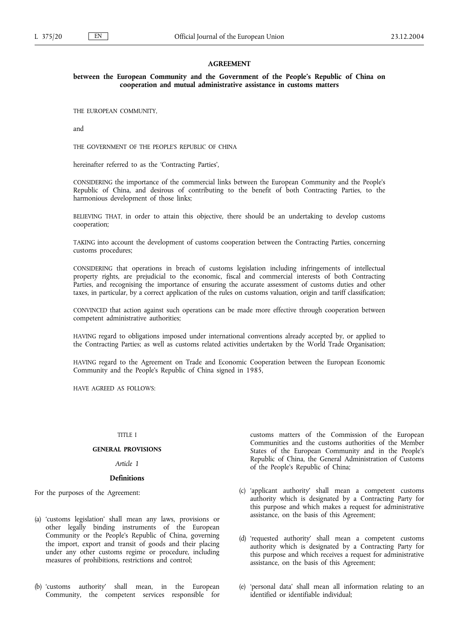## **AGREEMENT**

**between the European Community and the Government of the People***'***s Republic of China on cooperation and mutual administrative assistance in customs matters**

THE EUROPEAN COMMUNITY,

and

THE GOVERNMENT OF THE PEOPLE'S REPUBLIC OF CHINA

hereinafter referred to as the 'Contracting Parties',

CONSIDERING the importance of the commercial links between the European Community and the People's Republic of China, and desirous of contributing to the benefit of both Contracting Parties, to the harmonious development of those links;

BELIEVING THAT, in order to attain this objective, there should be an undertaking to develop customs cooperation;

TAKING into account the development of customs cooperation between the Contracting Parties, concerning customs procedures;

CONSIDERING that operations in breach of customs legislation including infringements of intellectual property rights, are prejudicial to the economic, fiscal and commercial interests of both Contracting Parties, and recognising the importance of ensuring the accurate assessment of customs duties and other taxes, in particular, by a correct application of the rules on customs valuation, origin and tariff classification;

CONVINCED that action against such operations can be made more effective through cooperation between competent administrative authorities;

HAVING regard to obligations imposed under international conventions already accepted by, or applied to the Contracting Parties; as well as customs related activities undertaken by the World Trade Organisation;

HAVING regard to the Agreement on Trade and Economic Cooperation between the European Economic Community and the People's Republic of China signed in 1985,

HAVE AGREED AS FOLLOWS:

#### TITLE I

#### **GENERAL PROVISIONS**

*Article 1*

## **Definitions**

For the purposes of the Agreement:

- (a) 'customs legislation' shall mean any laws, provisions or other legally binding instruments of the European Community or the People's Republic of China, governing the import, export and transit of goods and their placing under any other customs regime or procedure, including measures of prohibitions, restrictions and control;
- (b) 'customs authority' shall mean, in the European Community, the competent services responsible for

customs matters of the Commission of the European Communities and the customs authorities of the Member States of the European Community and in the People's Republic of China, the General Administration of Customs of the People's Republic of China;

- (c) 'applicant authority' shall mean a competent customs authority which is designated by a Contracting Party for this purpose and which makes a request for administrative assistance, on the basis of this Agreement;
- (d) 'requested authority' shall mean a competent customs authority which is designated by a Contracting Party for this purpose and which receives a request for administrative assistance, on the basis of this Agreement;
- (e) 'personal data' shall mean all information relating to an identified or identifiable individual;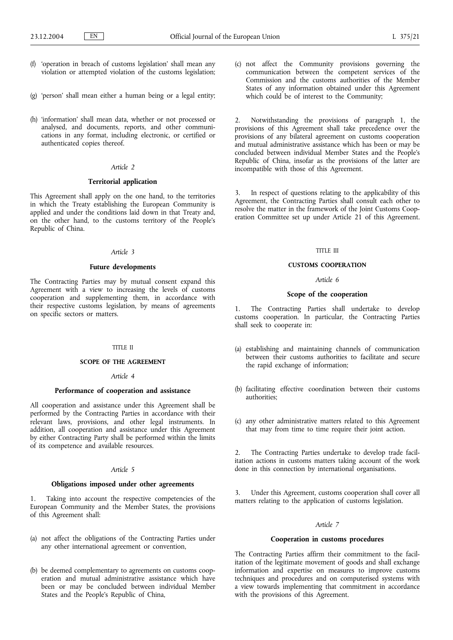- (f) 'operation in breach of customs legislation' shall mean any violation or attempted violation of the customs legislation;
- (g) 'person' shall mean either a human being or a legal entity;
- (h) 'information' shall mean data, whether or not processed or analysed, and documents, reports, and other communications in any format, including electronic, or certified or authenticated copies thereof.

## **Territorial application**

This Agreement shall apply on the one hand, to the territories in which the Treaty establishing the European Community is applied and under the conditions laid down in that Treaty and, on the other hand, to the customs territory of the People's Republic of China.

#### *Article 3*

## **Future developments**

The Contracting Parties may by mutual consent expand this Agreement with a view to increasing the levels of customs cooperation and supplementing them, in accordance with their respective customs legislation, by means of agreements on specific sectors or matters.

## TITLE II

## **SCOPE OF THE AGREEMENT**

## *Article 4*

## **Performance of cooperation and assistance**

All cooperation and assistance under this Agreement shall be performed by the Contracting Parties in accordance with their relevant laws, provisions, and other legal instruments. In addition, all cooperation and assistance under this Agreement by either Contracting Party shall be performed within the limits of its competence and available resources.

## *Article 5*

## **Obligations imposed under other agreements**

Taking into account the respective competencies of the European Community and the Member States, the provisions of this Agreement shall:

- (a) not affect the obligations of the Contracting Parties under any other international agreement or convention,
- (b) be deemed complementary to agreements on customs cooperation and mutual administrative assistance which have been or may be concluded between individual Member States and the People's Republic of China,

(c) not affect the Community provisions governing the communication between the competent services of the Commission and the customs authorities of the Member States of any information obtained under this Agreement which could be of interest to the Community;

2. Notwithstanding the provisions of paragraph 1, the provisions of this Agreement shall take precedence over the provisions of any bilateral agreement on customs cooperation and mutual administrative assistance which has been or may be concluded between individual Member States and the People's Republic of China, insofar as the provisions of the latter are incompatible with those of this Agreement.

3. In respect of questions relating to the applicability of this Agreement, the Contracting Parties shall consult each other to resolve the matter in the framework of the Joint Customs Cooperation Committee set up under Article 21 of this Agreement.

## TITLE III

## **CUSTOMS COOPERATION**

## *Article 6*

## **Scope of the cooperation**

1. The Contracting Parties shall undertake to develop customs cooperation. In particular, the Contracting Parties shall seek to cooperate in:

- (a) establishing and maintaining channels of communication between their customs authorities to facilitate and secure the rapid exchange of information;
- (b) facilitating effective coordination between their customs authorities;
- (c) any other administrative matters related to this Agreement that may from time to time require their joint action.

2. The Contracting Parties undertake to develop trade facilitation actions in customs matters taking account of the work done in this connection by international organisations.

3. Under this Agreement, customs cooperation shall cover all matters relating to the application of customs legislation.

#### *Article 7*

## **Cooperation in customs procedures**

The Contracting Parties affirm their commitment to the facilitation of the legitimate movement of goods and shall exchange information and expertise on measures to improve customs techniques and procedures and on computerised systems with a view towards implementing that commitment in accordance with the provisions of this Agreement.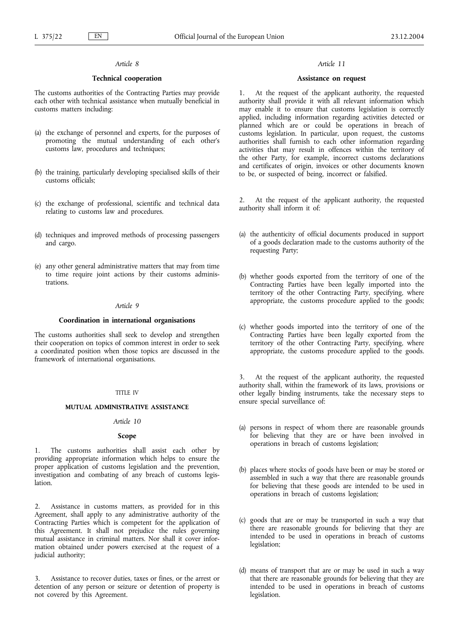## **Technical cooperation**

The customs authorities of the Contracting Parties may provide each other with technical assistance when mutually beneficial in customs matters including:

- (a) the exchange of personnel and experts, for the purposes of promoting the mutual understanding of each other's customs law, procedures and techniques;
- (b) the training, particularly developing specialised skills of their customs officials;
- (c) the exchange of professional, scientific and technical data relating to customs law and procedures.
- (d) techniques and improved methods of processing passengers and cargo.
- (e) any other general administrative matters that may from time to time require joint actions by their customs administrations.

## *Article 9*

## **Coordination in international organisations**

The customs authorities shall seek to develop and strengthen their cooperation on topics of common interest in order to seek a coordinated position when those topics are discussed in the framework of international organisations.

#### TITLE IV

## **MUTUAL ADMINISTRATIVE ASSISTANCE**

## *Article 10*

## **Scope**

1. The customs authorities shall assist each other by providing appropriate information which helps to ensure the proper application of customs legislation and the prevention, investigation and combating of any breach of customs legislation.

2. Assistance in customs matters, as provided for in this Agreement, shall apply to any administrative authority of the Contracting Parties which is competent for the application of this Agreement. It shall not prejudice the rules governing mutual assistance in criminal matters. Nor shall it cover information obtained under powers exercised at the request of a judicial authority;

3. Assistance to recover duties, taxes or fines, or the arrest or detention of any person or seizure or detention of property is not covered by this Agreement.

## *Article 11*

## **Assistance on request**

1. At the request of the applicant authority, the requested authority shall provide it with all relevant information which may enable it to ensure that customs legislation is correctly applied, including information regarding activities detected or planned which are or could be operations in breach of customs legislation. In particular, upon request, the customs authorities shall furnish to each other information regarding activities that may result in offences within the territory of the other Party, for example, incorrect customs declarations and certificates of origin, invoices or other documents known to be, or suspected of being, incorrect or falsified.

At the request of the applicant authority, the requested authority shall inform it of:

- (a) the authenticity of official documents produced in support of a goods declaration made to the customs authority of the requesting Party;
- (b) whether goods exported from the territory of one of the Contracting Parties have been legally imported into the territory of the other Contracting Party, specifying, where appropriate, the customs procedure applied to the goods;
- (c) whether goods imported into the territory of one of the Contracting Parties have been legally exported from the territory of the other Contracting Party, specifying, where appropriate, the customs procedure applied to the goods.

3. At the request of the applicant authority, the requested authority shall, within the framework of its laws, provisions or other legally binding instruments, take the necessary steps to ensure special surveillance of:

- (a) persons in respect of whom there are reasonable grounds for believing that they are or have been involved in operations in breach of customs legislation;
- (b) places where stocks of goods have been or may be stored or assembled in such a way that there are reasonable grounds for believing that these goods are intended to be used in operations in breach of customs legislation;
- (c) goods that are or may be transported in such a way that there are reasonable grounds for believing that they are intended to be used in operations in breach of customs legislation;
- (d) means of transport that are or may be used in such a way that there are reasonable grounds for believing that they are intended to be used in operations in breach of customs legislation.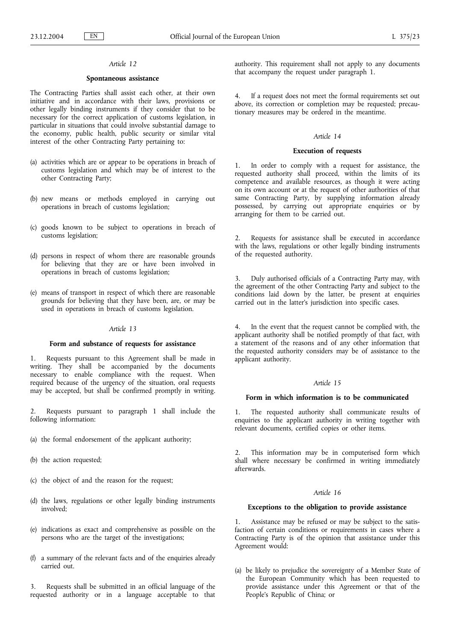## **Spontaneous assistance**

The Contracting Parties shall assist each other, at their own initiative and in accordance with their laws, provisions or other legally binding instruments if they consider that to be necessary for the correct application of customs legislation, in particular in situations that could involve substantial damage to the economy, public health, public security or similar vital interest of the other Contracting Party pertaining to:

- (a) activities which are or appear to be operations in breach of customs legislation and which may be of interest to the other Contracting Party;
- (b) new means or methods employed in carrying out operations in breach of customs legislation;
- (c) goods known to be subject to operations in breach of customs legislation;
- (d) persons in respect of whom there are reasonable grounds for believing that they are or have been involved in operations in breach of customs legislation;
- (e) means of transport in respect of which there are reasonable grounds for believing that they have been, are, or may be used in operations in breach of customs legislation.

## *Article 13*

## **Form and substance of requests for assistance**

1. Requests pursuant to this Agreement shall be made in writing. They shall be accompanied by the documents necessary to enable compliance with the request. When required because of the urgency of the situation, oral requests may be accepted, but shall be confirmed promptly in writing.

Requests pursuant to paragraph 1 shall include the following information:

- (a) the formal endorsement of the applicant authority;
- (b) the action requested;
- (c) the object of and the reason for the request;
- (d) the laws, regulations or other legally binding instruments involved;
- (e) indications as exact and comprehensive as possible on the persons who are the target of the investigations;
- (f) a summary of the relevant facts and of the enquiries already carried out.

Requests shall be submitted in an official language of the requested authority or in a language acceptable to that authority. This requirement shall not apply to any documents that accompany the request under paragraph 1.

4. If a request does not meet the formal requirements set out above, its correction or completion may be requested; precautionary measures may be ordered in the meantime.

#### *Article 14*

## **Execution of requests**

1. In order to comply with a request for assistance, the requested authority shall proceed, within the limits of its competence and available resources, as though it were acting on its own account or at the request of other authorities of that same Contracting Party, by supplying information already possessed, by carrying out appropriate enquiries or by arranging for them to be carried out.

2. Requests for assistance shall be executed in accordance with the laws, regulations or other legally binding instruments of the requested authority.

3. Duly authorised officials of a Contracting Party may, with the agreement of the other Contracting Party and subject to the conditions laid down by the latter, be present at enquiries carried out in the latter's jurisdiction into specific cases.

4. In the event that the request cannot be complied with, the applicant authority shall be notified promptly of that fact, with a statement of the reasons and of any other information that the requested authority considers may be of assistance to the applicant authority.

## *Article 15*

## **Form in which information is to be communicated**

1. The requested authority shall communicate results of enquiries to the applicant authority in writing together with relevant documents, certified copies or other items.

2. This information may be in computerised form which shall where necessary be confirmed in writing immediately afterwards.

## *Article 16*

## **Exceptions to the obligation to provide assistance**

1. Assistance may be refused or may be subject to the satisfaction of certain conditions or requirements in cases where a Contracting Party is of the opinion that assistance under this Agreement would:

(a) be likely to prejudice the sovereignty of a Member State of the European Community which has been requested to provide assistance under this Agreement or that of the People's Republic of China; or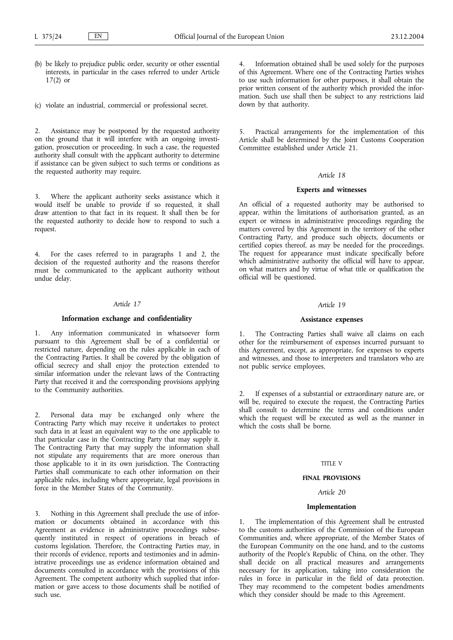- (b) be likely to prejudice public order, security or other essential interests, in particular in the cases referred to under Article  $17(2)$  or
- (c) violate an industrial, commercial or professional secret.

2. Assistance may be postponed by the requested authority on the ground that it will interfere with an ongoing investigation, prosecution or proceeding. In such a case, the requested authority shall consult with the applicant authority to determine if assistance can be given subject to such terms or conditions as the requested authority may require.

3. Where the applicant authority seeks assistance which it would itself be unable to provide if so requested, it shall draw attention to that fact in its request. It shall then be for the requested authority to decide how to respond to such a request.

4. For the cases referred to in paragraphs 1 and 2, the decision of the requested authority and the reasons therefor must be communicated to the applicant authority without undue delay.

## *Article 17*

## **Information exchange and confidentiality**

1. Any information communicated in whatsoever form pursuant to this Agreement shall be of a confidential or restricted nature, depending on the rules applicable in each of the Contracting Parties. It shall be covered by the obligation of official secrecy and shall enjoy the protection extended to similar information under the relevant laws of the Contracting Party that received it and the corresponding provisions applying to the Community authorities.

2. Personal data may be exchanged only where the Contracting Party which may receive it undertakes to protect such data in at least an equivalent way to the one applicable to that particular case in the Contracting Party that may supply it. The Contracting Party that may supply the information shall not stipulate any requirements that are more onerous than those applicable to it in its own jurisdiction. The Contracting Parties shall communicate to each other information on their applicable rules, including where appropriate, legal provisions in force in the Member States of the Community.

3. Nothing in this Agreement shall preclude the use of information or documents obtained in accordance with this Agreement as evidence in administrative proceedings subsequently instituted in respect of operations in breach of customs legislation. Therefore, the Contracting Parties may, in their records of evidence, reports and testimonies and in administrative proceedings use as evidence information obtained and documents consulted in accordance with the provisions of this Agreement. The competent authority which supplied that information or gave access to those documents shall be notified of such use.

4. Information obtained shall be used solely for the purposes of this Agreement. Where one of the Contracting Parties wishes to use such information for other purposes, it shall obtain the prior written consent of the authority which provided the information. Such use shall then be subject to any restrictions laid down by that authority.

5. Practical arrangements for the implementation of this Article shall be determined by the Joint Customs Cooperation Committee established under Article 21.

## *Article 18*

## **Experts and witnesses**

An official of a requested authority may be authorised to appear, within the limitations of authorisation granted, as an expert or witness in administrative proceedings regarding the matters covered by this Agreement in the territory of the other Contracting Party, and produce such objects, documents or certified copies thereof, as may be needed for the proceedings. The request for appearance must indicate specifically before which administrative authority the official will have to appear, on what matters and by virtue of what title or qualification the official will be questioned.

#### *Article 19*

## **Assistance expenses**

1. The Contracting Parties shall waive all claims on each other for the reimbursement of expenses incurred pursuant to this Agreement, except, as appropriate, for expenses to experts and witnesses, and those to interpreters and translators who are not public service employees.

2. If expenses of a substantial or extraordinary nature are, or will be, required to execute the request, the Contracting Parties shall consult to determine the terms and conditions under which the request will be executed as well as the manner in which the costs shall be borne.

#### TITLE V

## **FINAL PROVISIONS**

#### *Article 20*

## **Implementation**

1. The implementation of this Agreement shall be entrusted to the customs authorities of the Commission of the European Communities and, where appropriate, of the Member States of the European Community on the one hand, and to the customs authority of the People's Republic of China, on the other. They shall decide on all practical measures and arrangements necessary for its application, taking into consideration the rules in force in particular in the field of data protection. They may recommend to the competent bodies amendments which they consider should be made to this Agreement.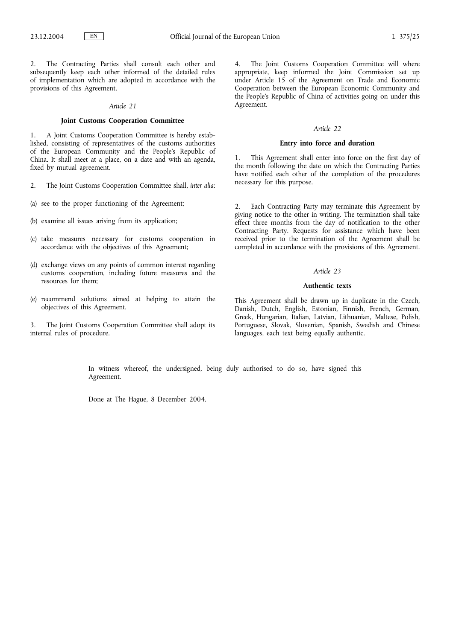The Contracting Parties shall consult each other and subsequently keep each other informed of the detailed rules of implementation which are adopted in accordance with the provisions of this Agreement.

## *Article 21*

## **Joint Customs Cooperation Committee**

1. A Joint Customs Cooperation Committee is hereby established, consisting of representatives of the customs authorities of the European Community and the People's Republic of China. It shall meet at a place, on a date and with an agenda, fixed by mutual agreement.

- 2. The Joint Customs Cooperation Committee shall, *inter alia:*
- (a) see to the proper functioning of the Agreement;
- (b) examine all issues arising from its application;
- (c) take measures necessary for customs cooperation in accordance with the objectives of this Agreement;
- (d) exchange views on any points of common interest regarding customs cooperation, including future measures and the resources for them;
- (e) recommend solutions aimed at helping to attain the objectives of this Agreement.
- 3. The Joint Customs Cooperation Committee shall adopt its internal rules of procedure.

The Joint Customs Cooperation Committee will where appropriate, keep informed the Joint Commission set up under Article 15 of the Agreement on Trade and Economic Cooperation between the European Economic Community and the People's Republic of China of activities going on under this Agreement.

## *Article 22*

## **Entry into force and duration**

1. This Agreement shall enter into force on the first day of the month following the date on which the Contracting Parties have notified each other of the completion of the procedures necessary for this purpose.

Each Contracting Party may terminate this Agreement by giving notice to the other in writing. The termination shall take effect three months from the day of notification to the other Contracting Party. Requests for assistance which have been received prior to the termination of the Agreement shall be completed in accordance with the provisions of this Agreement.

## *Article 23*

## **Authentic texts**

This Agreement shall be drawn up in duplicate in the Czech, Danish, Dutch, English, Estonian, Finnish, French, German, Greek, Hungarian, Italian, Latvian, Lithuanian, Maltese, Polish, Portuguese, Slovak, Slovenian, Spanish, Swedish and Chinese languages, each text being equally authentic.

In witness whereof, the undersigned, being duly authorised to do so, have signed this Agreement.

Done at The Hague, 8 December 2004.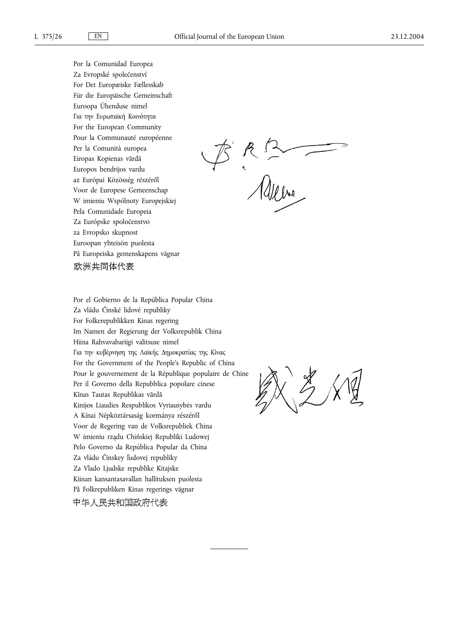Por la Comunidad Europea Za Evropské společenství For Det Europæiske Fællesskab Für die Europäische Gemeinschaft Euroopa Ühenduse nimel Για την Ευρωπαϊκή Κοινότητα For the European Community Pour la Communauté européenne Per la Comunità europea Eiropas Kopienas vārdā Europos bendrijos vardu az Európai Közösség részéről Voor de Europese Gemeenschap W imieniu Wspólnoty Europejskiej Pela Comunidade Europeia Za Európske spoločenstvo za Evropsko skupnost Euroopan yhteisön puolesta På Europeiska gemenskapens vägnar 欧洲共同体代表

BRB

Por el Gobierno de la República Popular China Za vládu Činské lidové republiky For Folkerepublikken Kinas regering Im Namen der Regierung der Volksrepublik China Hiina Rahvavabariigi valitsuse nimel Για την κυβέρνηση της Λαϊκής Δημοκρατίας της Κίνας For the Government of the People's Republic of China Pour le gouvernement de la République populaire de Chine Per il Governo della Repubblica popolare cinese Kīnas Tautas Republikas vārdā Kinijos Liaudies Respublikos Vyriausybės vardu A Kínai Népköztársaság kormánya részéről Voor de Regering van de Volksrepubliek China W imieniu rządu Chińskiej Republiki Ludowej Pelo Governo da República Popular da China Za vládu Činskey ľudovej republiky Za Vlado Ljudske republike Kitajske Kiinan kansantasavallan hallituksen puolesta På Folkrepubliken Kinas regerings vägnar

中华人民共和国政府代表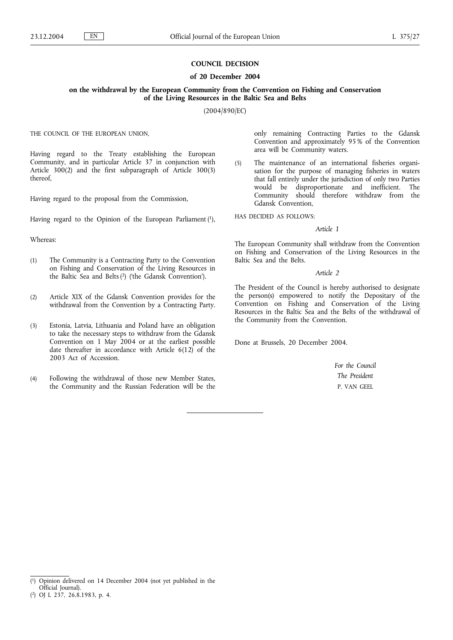## **COUNCIL DECISION**

## **of 20 December 2004**

**on the withdrawal by the European Community from the Convention on Fishing and Conservation of the Living Resources in the Baltic Sea and Belts**

(2004/890/EC)

THE COUNCIL OF THE EUROPEAN UNION,

Having regard to the Treaty establishing the European Community, and in particular Article 37 in conjunction with Article 300(2) and the first subparagraph of Article 300(3) thereof,

Having regard to the proposal from the Commission,

Having regard to the Opinion of the European Parliament (1),

## Whereas:

- (1) The Community is a Contracting Party to the Convention on Fishing and Conservation of the Living Resources in the Baltic Sea and Belts (2) ('the Gdansk Convention').
- (2) Article XIX of the Gdansk Convention provides for the withdrawal from the Convention by a Contracting Party.
- (3) Estonia, Latvia, Lithuania and Poland have an obligation to take the necessary steps to withdraw from the Gdansk Convention on 1 May 2004 or at the earliest possible date thereafter in accordance with Article 6(12) of the 2003 Act of Accession.
- (4) Following the withdrawal of those new Member States, the Community and the Russian Federation will be the

only remaining Contracting Parties to the Gdansk Convention and approximately 95 % of the Convention area will be Community waters.

(5) The maintenance of an international fisheries organisation for the purpose of managing fisheries in waters that fall entirely under the jurisdiction of only two Parties would be disproportionate and inefficient. The Community should therefore withdraw from the Gdansk Convention,

HAS DECIDED AS FOLLOWS:

## *Article 1*

The European Community shall withdraw from the Convention on Fishing and Conservation of the Living Resources in the Baltic Sea and the Belts.

#### *Article 2*

The President of the Council is hereby authorised to designate the person(s) empowered to notify the Depositary of the Convention on Fishing and Conservation of the Living Resources in the Baltic Sea and the Belts of the withdrawal of the Community from the Convention.

Done at Brussels, 20 December 2004.

*For the Council The President* P. VAN GEEL

<sup>(</sup> 1) Opinion delivered on 14 December 2004 (not yet published in the Official Journal).

<sup>(</sup> 2) OJ L 237, 26.8.1983, p. 4.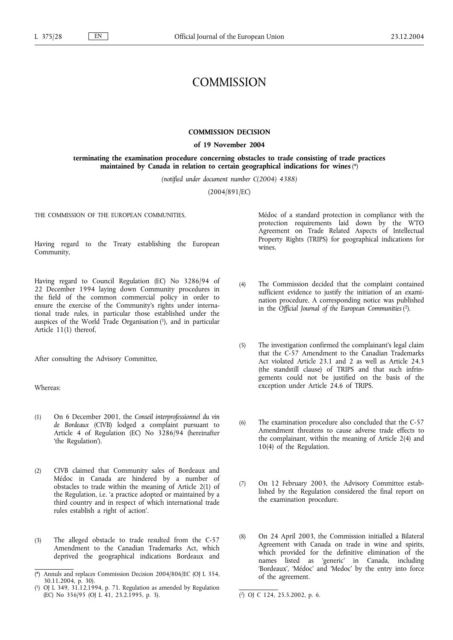## **COMMISSION**

## **COMMISSION DECISION**

## **of 19 November 2004**

**terminating the examination procedure concerning obstacles to trade consisting of trade practices maintained by Canada in relation to certain geographical indications for wines**(\*)

*(notified under document number C(2004) 4388)*

(2004/891/EC)

THE COMMISSION OF THE EUROPEAN COMMUNITIES,

Having regard to the Treaty establishing the European Community,

Having regard to Council Regulation (EC) No 3286/94 of 22 December 1994 laying down Community procedures in the field of the common commercial policy in order to ensure the exercise of the Community's rights under international trade rules, in particular those established under the auspices of the World Trade Organisation  $(1)$ , and in particular Article 11(1) thereof,

After consulting the Advisory Committee,

Whereas:

- (1) On 6 December 2001, the *Conseil interprofessionnel du vin de Bordeaux* (CIVB) lodged a complaint pursuant to Article 4 of Regulation (EC) No 3286/94 (hereinafter 'the Regulation').
- (2) CIVB claimed that Community sales of Bordeaux and Médoc in Canada are hindered by a number of obstacles to trade within the meaning of Article 2(1) of the Regulation, i.e. 'a practice adopted or maintained by a third country and in respect of which international trade rules establish a right of action'.
- (3) The alleged obstacle to trade resulted from the C-57 Amendment to the Canadian Trademarks Act, which deprived the geographical indications Bordeaux and

Médoc of a standard protection in compliance with the protection requirements laid down by the WTO Agreement on Trade Related Aspects of Intellectual Property Rights (TRIPS) for geographical indications for wines.

- (4) The Commission decided that the complaint contained sufficient evidence to justify the initiation of an examination procedure. A corresponding notice was published in the *Official Journal of the European Communities* ( 2).
- (5) The investigation confirmed the complainant's legal claim that the C-57 Amendment to the Canadian Trademarks Act violated Article 23.1 and 2 as well as Article 24.3 (the standstill clause) of TRIPS and that such infringements could not be justified on the basis of the exception under Article 24.6 of TRIPS.
- (6) The examination procedure also concluded that the C-57 Amendment threatens to cause adverse trade effects to the complainant, within the meaning of Article 2(4) and 10(4) of the Regulation.
- (7) On 12 February 2003, the Advisory Committee established by the Regulation considered the final report on the examination procedure.
- (8) On 24 April 2003, the Commission initialled a Bilateral Agreement with Canada on trade in wine and spirits, which provided for the definitive elimination of the names listed as 'generic' in Canada, including 'Bordeaux', 'Médoc' and 'Medoc' by the entry into force of the agreement.

<sup>(\*)</sup> Annuls and replaces Commission Decision 2004/806/EC (OJ L 354, 30.11.2004, p. 30).

<sup>(</sup> 1) OJ L 349, 31.12.1994, p. 71. Regulation as amended by Regulation (EC) No 356/95 (OJ L 41, 23.2.1995, p. 3). (

<sup>2)</sup> OJ C 124, 25.5.2002, p. 6.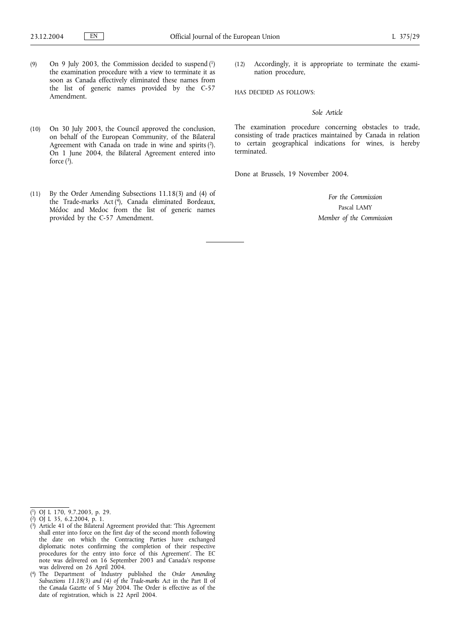- (9) On 9 July 2003, the Commission decided to suspend  $(1)$ the examination procedure with a view to terminate it as soon as Canada effectively eliminated these names from the list of generic names provided by the C-57 Amendment.
- (10) On 30 July 2003, the Council approved the conclusion, on behalf of the European Community, of the Bilateral Agreement with Canada on trade in wine and spirits (2). On 1 June 2004, the Bilateral Agreement entered into force  $(3)$ .
- (11) By the Order Amending Subsections 11.18(3) and (4) of the Trade-marks Act  $(4)$ , Canada eliminated Bordeaux, Médoc and Medoc from the list of generic names provided by the C-57 Amendment.

(12) Accordingly, it is appropriate to terminate the examination procedure,

HAS DECIDED AS FOLLOWS:

#### *Sole Article*

The examination procedure concerning obstacles to trade, consisting of trade practices maintained by Canada in relation to certain geographical indications for wines, is hereby terminated.

Done at Brussels, 19 November 2004.

*For the Commission* Pascal LAMY *Member of the Commission*

- ( 1) OJ L 170, 9.7.2003, p. 29.
- ( 2) OJ L 35, 6.2.2004, p. 1.
- ( 3) Article 41 of the Bilateral Agreement provided that: 'This Agreement shall enter into force on the first day of the second month following the date on which the Contracting Parties have exchanged diplomatic notes confirming the completion of their respective procedures for the entry into force of this Agreement'. The EC note was delivered on 16 September 2003 and Canada's response was delivered on 26 April 2004.
- ( 4) The Department of Industry published the *Order Amending Subsections 11.18(3) and (4) of the Trade-marks Act* in the Part II of the *Canada Gazette* of 5 May 2004. The Order is effective as of the date of registration, which is 22 April 2004.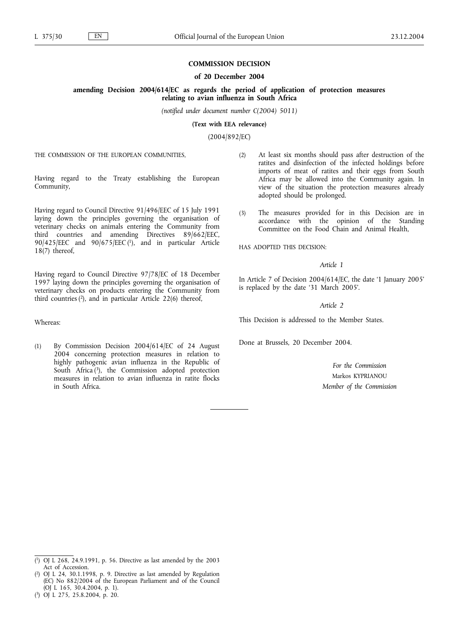## **COMMISSION DECISION**

## **of 20 December 2004**

## **amending Decision 2004/614/EC as regards the period of application of protection measures relating to avian influenza in South Africa**

*(notified under document number C(2004) 5011)*

**(Text with EEA relevance)**

(2004/892/EC)

THE COMMISSION OF THE EUROPEAN COMMUNITIES,

Having regard to the Treaty establishing the European Community,

Having regard to Council Directive 91/496/EEC of 15 July 1991 laying down the principles governing the organisation of veterinary checks on animals entering the Community from third countries and amending Directives 89/662/EEC, 90/425/EEC and 90/675/EEC (1), and in particular Article 18(7) thereof,

Having regard to Council Directive 97/78/EC of 18 December 1997 laying down the principles governing the organisation of veterinary checks on products entering the Community from third countries  $(2)$ , and in particular Article 22(6) thereof,

Whereas:

(1) By Commission Decision 2004/614/EC of 24 August 2004 concerning protection measures in relation to highly pathogenic avian influenza in the Republic of South Africa<sup>(3)</sup>, the Commission adopted protection measures in relation to avian influenza in ratite flocks in South Africa.

- (2) At least six months should pass after destruction of the ratites and disinfection of the infected holdings before imports of meat of ratites and their eggs from South Africa may be allowed into the Community again. In view of the situation the protection measures already adopted should be prolonged.
- (3) The measures provided for in this Decision are in accordance with the opinion of the Standing Committee on the Food Chain and Animal Health,

HAS ADOPTED THIS DECISION:

## *Article 1*

In Article 7 of Decision 2004/614/EC, the date '1 January 2005' is replaced by the date '31 March 2005'.

*Article 2*

This Decision is addressed to the Member States.

Done at Brussels, 20 December 2004.

*For the Commission* Markos KYPRIANOU *Member of the Commission*

<sup>(</sup> 1) OJ L 268, 24.9.1991, p. 56. Directive as last amended by the 2003 Act of Accession.

<sup>(</sup> 2) OJ L 24, 30.1.1998, p. 9. Directive as last amended by Regulation (EC) No 882/2004 of the European Parliament and of the Council (OJ L 165, 30.4.2004, p. 1).

<sup>(</sup> 3) OJ L 275, 25.8.2004, p. 20.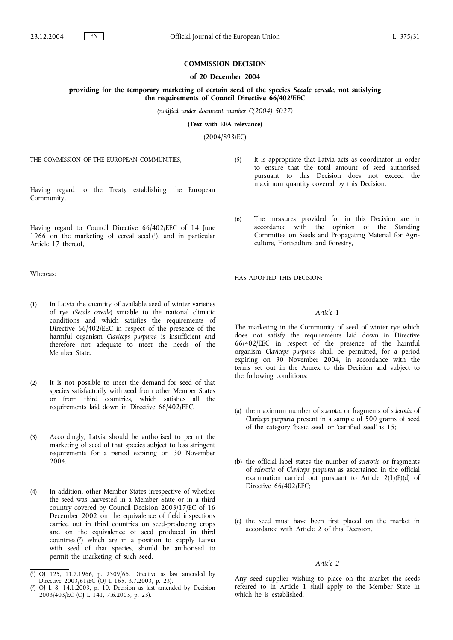## **COMMISSION DECISION**

## **of 20 December 2004**

## **providing for the temporary marketing of certain seed of the species** *Secale cereale***, not satisfying the requirements of Council Directive 66/402/EEC**

*(notified under document number C(2004) 5027)*

**(Text with EEA relevance)**

(2004/893/EC)

THE COMMISSION OF THE EUROPEAN COMMUNITIES,

Having regard to the Treaty establishing the European Community,

Having regard to Council Directive 66/402/EEC of 14 June 1966 on the marketing of cereal seed (1), and in particular Article 17 thereof,

Whereas:

- (1) In Latvia the quantity of available seed of winter varieties of rye (*Secale cereale*) suitable to the national climatic conditions and which satisfies the requirements of Directive 66/402/EEC in respect of the presence of the harmful organism *Claviceps purpurea* is insufficient and therefore not adequate to meet the needs of the Member State.
- (2) It is not possible to meet the demand for seed of that species satisfactorily with seed from other Member States or from third countries, which satisfies all the requirements laid down in Directive 66/402/EEC.
- (3) Accordingly, Latvia should be authorised to permit the marketing of seed of that species subject to less stringent requirements for a period expiring on 30 November 2004.
- (4) In addition, other Member States irrespective of whether the seed was harvested in a Member State or in a third country covered by Council Decision 2003/17/EC of 16 December 2002 on the equivalence of field inspections carried out in third countries on seed-producing crops and on the equivalence of seed produced in third countries (2) which are in a position to supply Latvia with seed of that species, should be authorised to permit the marketing of such seed.
- (5) It is appropriate that Latvia acts as coordinator in order to ensure that the total amount of seed authorised pursuant to this Decision does not exceed the maximum quantity covered by this Decision.
- (6) The measures provided for in this Decision are in accordance with the opinion of the Standing Committee on Seeds and Propagating Material for Agriculture, Horticulture and Forestry,

HAS ADOPTED THIS DECISION:

## *Article 1*

The marketing in the Community of seed of winter rye which does not satisfy the requirements laid down in Directive 66/402/EEC in respect of the presence of the harmful organism *Claviceps purpurea* shall be permitted, for a period expiring on 30 November 2004, in accordance with the terms set out in the Annex to this Decision and subject to the following conditions:

- (a) the maximum number of *sclerotia* or fragments of *sclerotia* of *Claviceps purpurea* present in a sample of 500 grams of seed of the category 'basic seed' or 'certified seed' is 15;
- (b) the official label states the number of *sclerotia* or fragments of *sclerotia* of *Claviceps purpurea* as ascertained in the official examination carried out pursuant to Article  $2(1)(E)(d)$  of Directive 66/402/EEC;
- (c) the seed must have been first placed on the market in accordance with Article 2 of this Decision.

## *Article 2*

Any seed supplier wishing to place on the market the seeds referred to in Article 1 shall apply to the Member State in which he is established.

<sup>(</sup> 1) OJ 125, 11.7.1966, p. 2309/66. Directive as last amended by Directive 2003/61/EC (OJ L 165, 3.7.2003, p. 23).

<sup>(</sup> 2) OJ L 8, 14.1.2003, p. 10. Decision as last amended by Decision 2003/403/EC (OJ L 141, 7.6.2003, p. 23).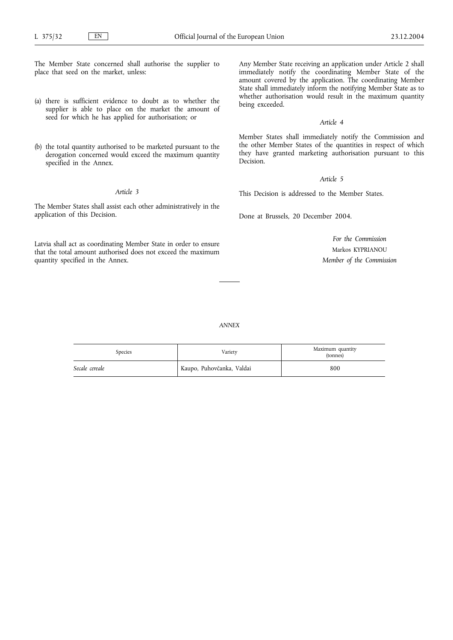The Member State concerned shall authorise the supplier to place that seed on the market, unless:

- (a) there is sufficient evidence to doubt as to whether the supplier is able to place on the market the amount of seed for which he has applied for authorisation; or
- (b) the total quantity authorised to be marketed pursuant to the derogation concerned would exceed the maximum quantity specified in the Annex.

## *Article 3*

The Member States shall assist each other administratively in the application of this Decision.

Latvia shall act as coordinating Member State in order to ensure that the total amount authorised does not exceed the maximum quantity specified in the Annex.

Any Member State receiving an application under Article 2 shall immediately notify the coordinating Member State of the amount covered by the application. The coordinating Member State shall immediately inform the notifying Member State as to whether authorisation would result in the maximum quantity being exceeded.

## *Article 4*

Member States shall immediately notify the Commission and the other Member States of the quantities in respect of which they have granted marketing authorisation pursuant to this Decision.

## *Article 5*

This Decision is addressed to the Member States.

Done at Brussels, 20 December 2004.

*For the Commission* Markos KYPRIANOU *Member of the Commission*

*ANNEX*

| Variety        |                           | Maximum quantity |
|----------------|---------------------------|------------------|
| <b>Species</b> |                           | (tonnes)         |
| Secale cereale | Kaupo, Puhovčanka, Valdai | 800              |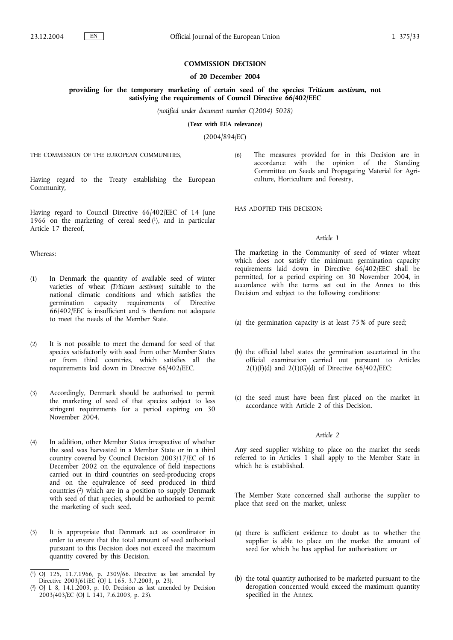## **COMMISSION DECISION**

## **of 20 December 2004**

## **providing for the temporary marketing of certain seed of the species** *Triticum aestivum***, not satisfying the requirements of Council Directive 66/402/EEC**

*(notified under document number C(2004) 5028)*

**(Text with EEA relevance)**

(2004/894/EC)

THE COMMISSION OF THE EUROPEAN COMMUNITIES,

Having regard to the Treaty establishing the European Community,

Having regard to Council Directive 66/402/EEC of 14 June 1966 on the marketing of cereal seed  $(1)$ , and in particular Article 17 thereof,

## Whereas:

- (1) In Denmark the quantity of available seed of winter varieties of wheat (*Triticum aestivum*) suitable to the national climatic conditions and which satisfies the germination capacity requirements of Directive 66/402/EEC is insufficient and is therefore not adequate to meet the needs of the Member State.
- (2) It is not possible to meet the demand for seed of that species satisfactorily with seed from other Member States or from third countries, which satisfies all the requirements laid down in Directive 66/402/EEC.
- (3) Accordingly, Denmark should be authorised to permit the marketing of seed of that species subject to less stringent requirements for a period expiring on 30 November 2004.
- (4) In addition, other Member States irrespective of whether the seed was harvested in a Member State or in a third country covered by Council Decision 2003/17/EC of 16 December 2002 on the equivalence of field inspections carried out in third countries on seed-producing crops and on the equivalence of seed produced in third countries (2) which are in a position to supply Denmark with seed of that species, should be authorised to permit the marketing of such seed.
- (5) It is appropriate that Denmark act as coordinator in order to ensure that the total amount of seed authorised pursuant to this Decision does not exceed the maximum quantity covered by this Decision.

(6) The measures provided for in this Decision are in accordance with the opinion of the Standing Committee on Seeds and Propagating Material for Agriculture, Horticulture and Forestry,

HAS ADOPTED THIS DECISION:

#### *Article 1*

The marketing in the Community of seed of winter wheat which does not satisfy the minimum germination capacity requirements laid down in Directive 66/402/EEC shall be permitted, for a period expiring on 30 November 2004, in accordance with the terms set out in the Annex to this Decision and subject to the following conditions:

- (a) the germination capacity is at least 75 % of pure seed;
- (b) the official label states the germination ascertained in the official examination carried out pursuant to Articles  $2(1)(F)(d)$  and  $2(1)(G)(d)$  of Directive 66/402/EEC;
- (c) the seed must have been first placed on the market in accordance with Article 2 of this Decision.

## *Article 2*

Any seed supplier wishing to place on the market the seeds referred to in Articles 1 shall apply to the Member State in which he is established.

The Member State concerned shall authorise the supplier to place that seed on the market, unless:

- (a) there is sufficient evidence to doubt as to whether the supplier is able to place on the market the amount of seed for which he has applied for authorisation; or
- (b) the total quantity authorised to be marketed pursuant to the derogation concerned would exceed the maximum quantity specified in the Annex.

<sup>(</sup> 1) OJ 125, 11.7.1966, p. 2309/66. Directive as last amended by Directive 2003/61/EC (OJ L 165, 3.7.2003, p. 23).

<sup>(</sup> 2) OJ L 8, 14.1.2003, p. 10. Decision as last amended by Decision 2003/403/EC (OJ L 141, 7.6.2003, p. 23).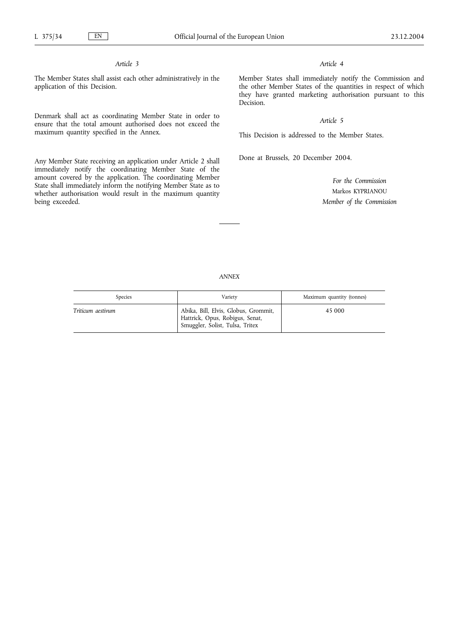The Member States shall assist each other administratively in the application of this Decision.

Denmark shall act as coordinating Member State in order to ensure that the total amount authorised does not exceed the maximum quantity specified in the Annex.

Any Member State receiving an application under Article 2 shall immediately notify the coordinating Member State of the amount covered by the application. The coordinating Member State shall immediately inform the notifying Member State as to whether authorisation would result in the maximum quantity being exceeded.

## *Article 4*

Member States shall immediately notify the Commission and the other Member States of the quantities in respect of which they have granted marketing authorisation pursuant to this Decision.

## *Article 5*

This Decision is addressed to the Member States.

Done at Brussels, 20 December 2004.

*For the Commission* Markos KYPRIANOU *Member of the Commission*

#### *ANNEX*

| Species           | Variety                                                                                                    | Maximum quantity (tonnes) |
|-------------------|------------------------------------------------------------------------------------------------------------|---------------------------|
| Triticum aestivum | Abika, Bill, Elvis, Globus, Grommit,<br>Hattrick, Opus, Robigus, Senat,<br>Smuggler, Solist, Tulsa, Tritex | 45 000                    |